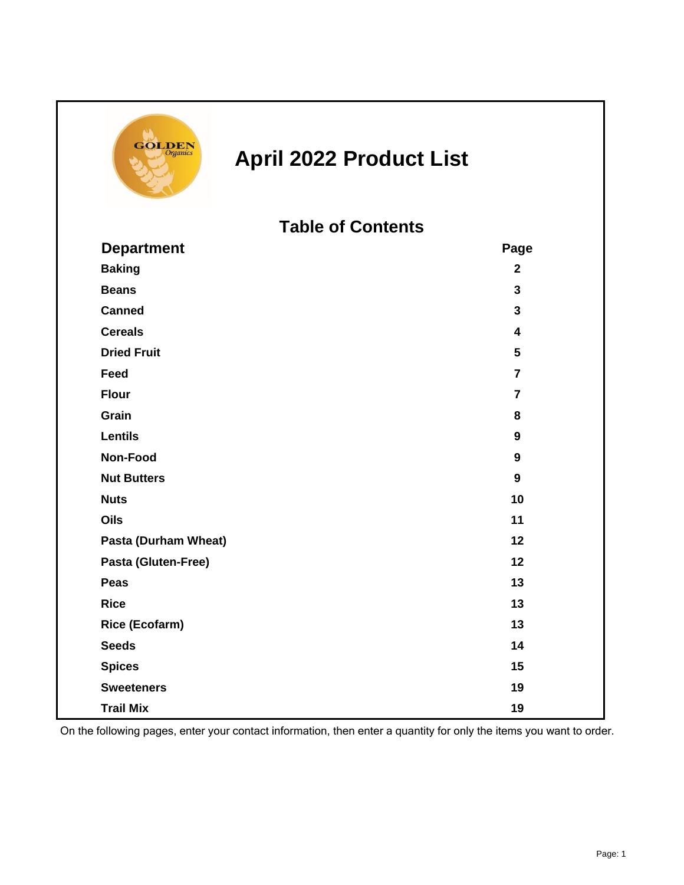

## **April 2022 Product List**

**Table of Contents**

| <b>Department</b>     | Page                    |
|-----------------------|-------------------------|
| <b>Baking</b>         | $\mathbf{2}$            |
| <b>Beans</b>          | $\overline{3}$          |
| <b>Canned</b>         | $\mathbf{3}$            |
| <b>Cereals</b>        | $\overline{\mathbf{4}}$ |
| <b>Dried Fruit</b>    | 5                       |
| Feed                  | $\overline{7}$          |
| <b>Flour</b>          | $\overline{7}$          |
| Grain                 | 8                       |
| <b>Lentils</b>        | $\boldsymbol{9}$        |
| Non-Food              | $\boldsymbol{9}$        |
| <b>Nut Butters</b>    | 9                       |
| <b>Nuts</b>           | 10                      |
| Oils                  | 11                      |
| Pasta (Durham Wheat)  | 12                      |
| Pasta (Gluten-Free)   | 12                      |
| <b>Peas</b>           | 13                      |
| <b>Rice</b>           | 13                      |
| <b>Rice (Ecofarm)</b> | 13                      |
| <b>Seeds</b>          | 14                      |
| <b>Spices</b>         | 15                      |
| <b>Sweeteners</b>     | 19                      |
| <b>Trail Mix</b>      | 19                      |

On the following pages, enter your contact information, then enter a quantity for only the items you want to order.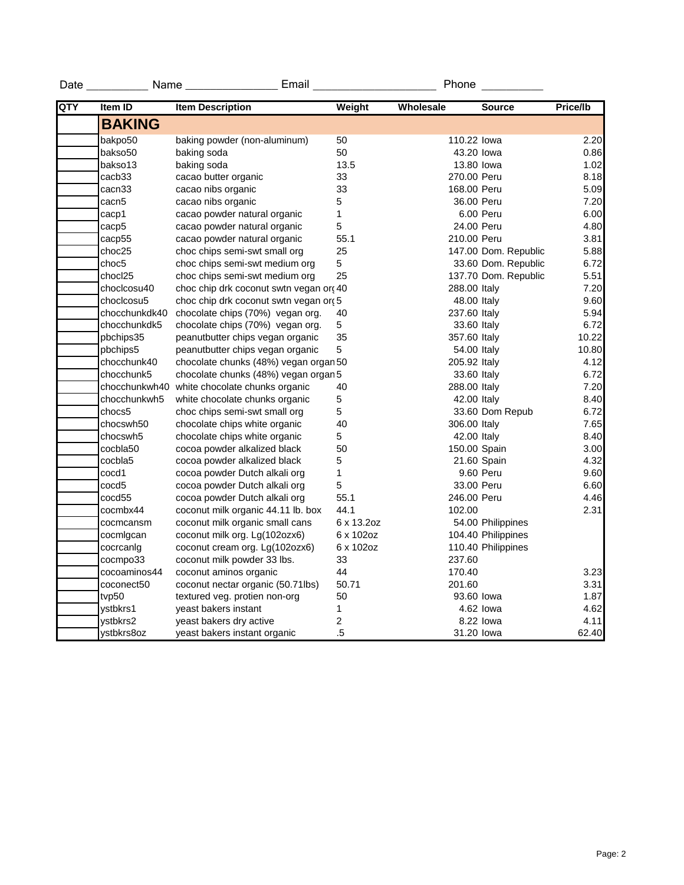| Date | Name          | Email                                  |                | Phone        |                      |          |
|------|---------------|----------------------------------------|----------------|--------------|----------------------|----------|
| QTY  | Item ID       | <b>Item Description</b>                | Weight         | Wholesale    | <b>Source</b>        | Price/lb |
|      | <b>BAKING</b> |                                        |                |              |                      |          |
|      | bakpo50       | baking powder (non-aluminum)           | 50             | 110.22 lowa  |                      | 2.20     |
|      | bakso50       | baking soda                            | 50             | 43.20 lowa   |                      | 0.86     |
|      | bakso13       | baking soda                            | 13.5           | 13.80 lowa   |                      | 1.02     |
|      | cacb33        | cacao butter organic                   | 33             | 270.00 Peru  |                      | 8.18     |
|      | cacn33        | cacao nibs organic                     | 33             | 168.00 Peru  |                      | 5.09     |
|      | cacn5         | cacao nibs organic                     | 5              | 36.00 Peru   |                      | 7.20     |
|      | cacp1         | cacao powder natural organic           | 1              |              | 6.00 Peru            | 6.00     |
|      | cacp5         | cacao powder natural organic           | 5              | 24.00 Peru   |                      | 4.80     |
|      | cacp55        | cacao powder natural organic           | 55.1           | 210.00 Peru  |                      | 3.81     |
|      | choc25        | choc chips semi-swt small org          | 25             |              | 147.00 Dom. Republic | 5.88     |
|      | choc5         | choc chips semi-swt medium org         | 5              |              | 33.60 Dom. Republic  | 6.72     |
|      | chocl25       | choc chips semi-swt medium org         | 25             |              | 137.70 Dom. Republic | 5.51     |
|      | choclcosu40   | choc chip drk coconut swtn vegan or 40 |                | 288.00 Italy |                      | 7.20     |
|      | choclcosu5    | choc chip drk coconut swtn vegan or 5  |                | 48.00 Italy  |                      | 9.60     |
|      | chocchunkdk40 | chocolate chips (70%) vegan org.       | 40             | 237.60 Italy |                      | 5.94     |
|      | chocchunkdk5  | chocolate chips (70%) vegan org.       | 5              | 33.60 Italy  |                      | 6.72     |
|      | pbchips35     | peanutbutter chips vegan organic       | 35             | 357.60 Italy |                      | 10.22    |
|      | pbchips5      | peanutbutter chips vegan organic       | 5              | 54.00 Italy  |                      | 10.80    |
|      | chocchunk40   | chocolate chunks (48%) vegan organ 50  |                | 205.92 Italy |                      | 4.12     |
|      | chocchunk5    | chocolate chunks (48%) vegan organ 5   |                | 33.60 Italy  |                      | 6.72     |
|      | chocchunkwh40 | white chocolate chunks organic         | 40             | 288.00 Italy |                      | 7.20     |
|      | chocchunkwh5  | white chocolate chunks organic         | $\mathbf 5$    | 42.00 Italy  |                      | 8.40     |
|      | chocs5        | choc chips semi-swt small org          | 5              |              | 33.60 Dom Repub      | 6.72     |
|      | chocswh50     | chocolate chips white organic          | 40             | 306.00 Italy |                      | 7.65     |
|      | chocswh5      | chocolate chips white organic          | 5              | 42.00 Italy  |                      | 8.40     |
|      | cocbla50      | cocoa powder alkalized black           | 50             | 150.00 Spain |                      | 3.00     |
|      | cocbla5       | cocoa powder alkalized black           | 5              |              | 21.60 Spain          | 4.32     |
|      | cocd1         | cocoa powder Dutch alkali org          | 1              |              | 9.60 Peru            | 9.60     |
|      | cocd5         | cocoa powder Dutch alkali org          | 5              | 33.00 Peru   |                      | 6.60     |
|      | cocd55        | cocoa powder Dutch alkali org          | 55.1           | 246.00 Peru  |                      | 4.46     |
|      | cocmbx44      | coconut milk organic 44.11 lb. box     | 44.1           | 102.00       |                      | 2.31     |
|      | cocmcansm     | coconut milk organic small cans        | 6 x 13.2oz     |              | 54.00 Philippines    |          |
|      | cocmigcan     | coconut milk org. Lg(102ozx6)          | 6 x 102oz      |              | 104.40 Philippines   |          |
|      | cocrcanig     | coconut cream org. Lg(102ozx6)         | 6 x 102oz      |              | 110.40 Philippines   |          |
|      | cocmpo33      | coconut milk powder 33 lbs.            | 33             | 237.60       |                      |          |
|      | cocoaminos44  | coconut aminos organic                 | 44             | 170.40       |                      | 3.23     |
|      | coconect50    | coconut nectar organic (50.71lbs)      | 50.71          | 201.60       |                      | 3.31     |
|      | tvp50         | textured veg. protien non-org          | 50             | 93.60 lowa   |                      | 1.87     |
|      | vstbkrs1      | yeast bakers instant                   | 1              |              | 4.62 lowa            | 4.62     |
|      | ystbkrs2      | yeast bakers dry active                | $\overline{c}$ |              | 8.22 lowa            | 4.11     |
|      | ystbkrs8oz    | yeast bakers instant organic           | .5             | 31.20 lowa   |                      | 62.40    |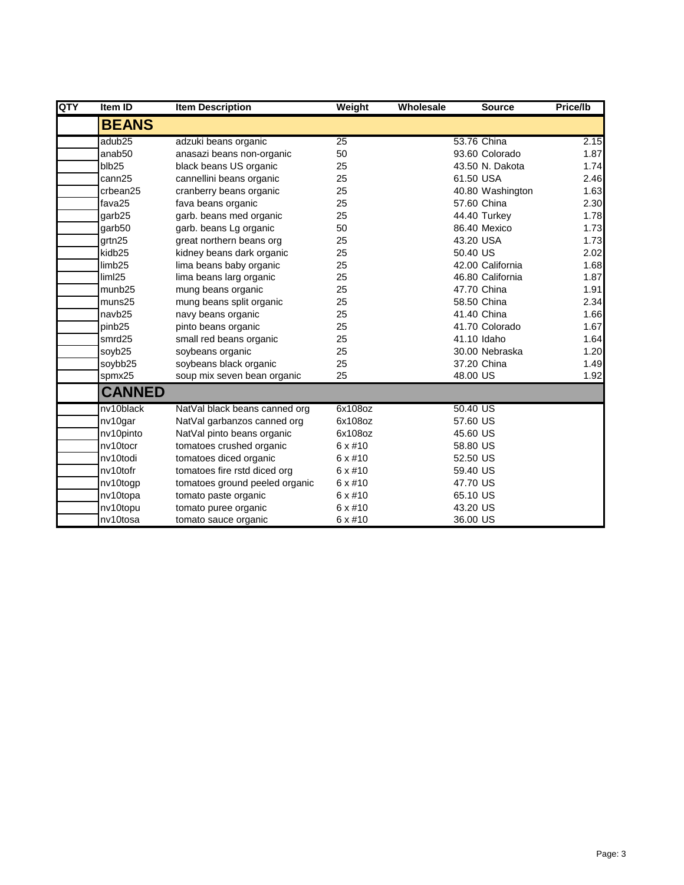| QTY | <b>Item ID</b>     | <b>Item Description</b>        | Weight          | Wholesale | <b>Source</b>    | Price/lb |
|-----|--------------------|--------------------------------|-----------------|-----------|------------------|----------|
|     | <b>BEANS</b>       |                                |                 |           |                  |          |
|     | adub <sub>25</sub> | adzuki beans organic           | $\overline{25}$ |           | 53.76 China      | 2.15     |
|     | anab50             | anasazi beans non-organic      | 50              |           | 93.60 Colorado   | 1.87     |
|     | blb25              | black beans US organic         | 25              |           | 43.50 N. Dakota  | 1.74     |
|     | cann25             | cannellini beans organic       | 25              |           | 61.50 USA        | 2.46     |
|     | crbean25           | cranberry beans organic        | 25              |           | 40.80 Washington | 1.63     |
|     | fava25             | fava beans organic             | 25              |           | 57.60 China      | 2.30     |
|     | garb25             | garb. beans med organic        | 25              |           | 44.40 Turkey     | 1.78     |
|     | garb50             | garb. beans Lg organic         | 50              |           | 86.40 Mexico     | 1.73     |
|     | grtn25             | great northern beans org       | 25              |           | 43.20 USA        | 1.73     |
|     | kidb <sub>25</sub> | kidney beans dark organic      | 25              |           | 50.40 US         | 2.02     |
|     | limb <sub>25</sub> | lima beans baby organic        | 25              |           | 42.00 California | 1.68     |
|     | lim125             | lima beans larg organic        | 25              |           | 46.80 California | 1.87     |
|     | munb <sub>25</sub> | mung beans organic             | 25              |           | 47.70 China      | 1.91     |
|     | muns25             | mung beans split organic       | 25              |           | 58.50 China      | 2.34     |
|     | navb25             | navy beans organic             | 25              |           | 41.40 China      | 1.66     |
|     | pinb25             | pinto beans organic            | 25              |           | 41.70 Colorado   | 1.67     |
|     | smrd25             | small red beans organic        | 25              |           | 41.10 Idaho      | 1.64     |
|     | soyb25             | soybeans organic               | 25              |           | 30.00 Nebraska   | 1.20     |
|     | soybb25            | soybeans black organic         | 25              |           | 37.20 China      | 1.49     |
|     | spmx25             | soup mix seven bean organic    | 25              |           | 48.00 US         | 1.92     |
|     | <b>CANNED</b>      |                                |                 |           |                  |          |
|     | nv10black          | NatVal black beans canned org  | 6x108oz         |           | 50.40 US         |          |
|     | nv10gar            | NatVal garbanzos canned org    | 6x108oz         |           | 57.60 US         |          |
|     | nv10pinto          | NatVal pinto beans organic     | 6x108oz         |           | 45.60 US         |          |
|     | nv10tocr           | tomatoes crushed organic       | $6 \times \#10$ |           | 58.80 US         |          |
|     | nv10todi           | tomatoes diced organic         | $6 \times #10$  |           | 52.50 US         |          |
|     | nv10tofr           | tomatoes fire rstd diced org   | $6 \times \#10$ |           | 59.40 US         |          |
|     | nv10togp           | tomatoes ground peeled organic | $6 \times \#10$ |           | 47.70 US         |          |
|     | nv10topa           | tomato paste organic           | $6 \times \#10$ |           | 65.10 US         |          |
|     | nv10topu           | tomato puree organic           | $6 \times \#10$ |           | 43.20 US         |          |
|     | nv10tosa           | tomato sauce organic           | $6 \times #10$  |           | 36.00 US         |          |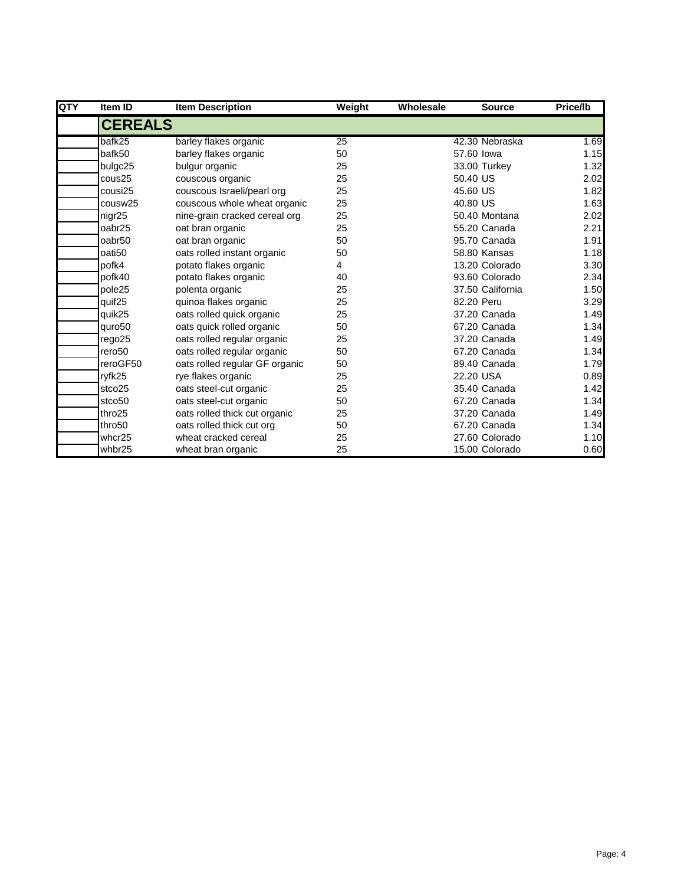| QTY | Item ID            | <b>Item Description</b>        | Weight | Wholesale | <b>Source</b>    | Price/lb |
|-----|--------------------|--------------------------------|--------|-----------|------------------|----------|
|     | <b>CEREALS</b>     |                                |        |           |                  |          |
|     | bafk25             | barley flakes organic          | 25     |           | 42.30 Nebraska   | 1.69     |
|     | bafk50             | barley flakes organic          | 50     |           | 57.60 lowa       | 1.15     |
|     | bulgc25            | bulgur organic                 | 25     |           | 33.00 Turkey     | 1.32     |
|     | cous25             | couscous organic               | 25     |           | 50.40 US         | 2.02     |
|     | cousi25            | couscous Israeli/pearl org     | 25     |           | 45.60 US         | 1.82     |
|     | cousw25            | couscous whole wheat organic   | 25     |           | 40.80 US         | 1.63     |
|     | nigr25             | nine-grain cracked cereal org  | 25     |           | 50.40 Montana    | 2.02     |
|     | oabr25             | oat bran organic               | 25     |           | 55.20 Canada     | 2.21     |
|     | oabr <sub>50</sub> | oat bran organic               | 50     |           | 95.70 Canada     | 1.91     |
|     | oati50             | oats rolled instant organic    | 50     |           | 58.80 Kansas     | 1.18     |
|     | pofk4              | potato flakes organic          | 4      |           | 13.20 Colorado   | 3.30     |
|     | pofk40             | potato flakes organic          | 40     |           | 93.60 Colorado   | 2.34     |
|     | pole25             | polenta organic                | 25     |           | 37.50 California | 1.50     |
|     | quif <sub>25</sub> | quinoa flakes organic          | 25     |           | 82.20 Peru       | 3.29     |
|     | quik25             | oats rolled quick organic      | 25     |           | 37.20 Canada     | 1.49     |
|     | quro50             | oats quick rolled organic      | 50     |           | 67.20 Canada     | 1.34     |
|     | rego25             | oats rolled regular organic    | 25     |           | 37.20 Canada     | 1.49     |
|     | rero <sub>50</sub> | oats rolled regular organic    | 50     |           | 67.20 Canada     | 1.34     |
|     | reroGF50           | oats rolled regular GF organic | 50     |           | 89.40 Canada     | 1.79     |
|     | ryfk25             | rye flakes organic             | 25     |           | 22.20 USA        | 0.89     |
|     | stco25             | oats steel-cut organic         | 25     |           | 35.40 Canada     | 1.42     |
|     | stco50             | oats steel-cut organic         | 50     |           | 67.20 Canada     | 1.34     |
|     | thro <sub>25</sub> | oats rolled thick cut organic  | 25     |           | 37.20 Canada     | 1.49     |
|     | thro50             | oats rolled thick cut org      | 50     |           | 67.20 Canada     | 1.34     |
|     | whcr25             | wheat cracked cereal           | 25     |           | 27.60 Colorado   | 1.10     |
|     | whbr25             | wheat bran organic             | 25     |           | 15.00 Colorado   | 0.60     |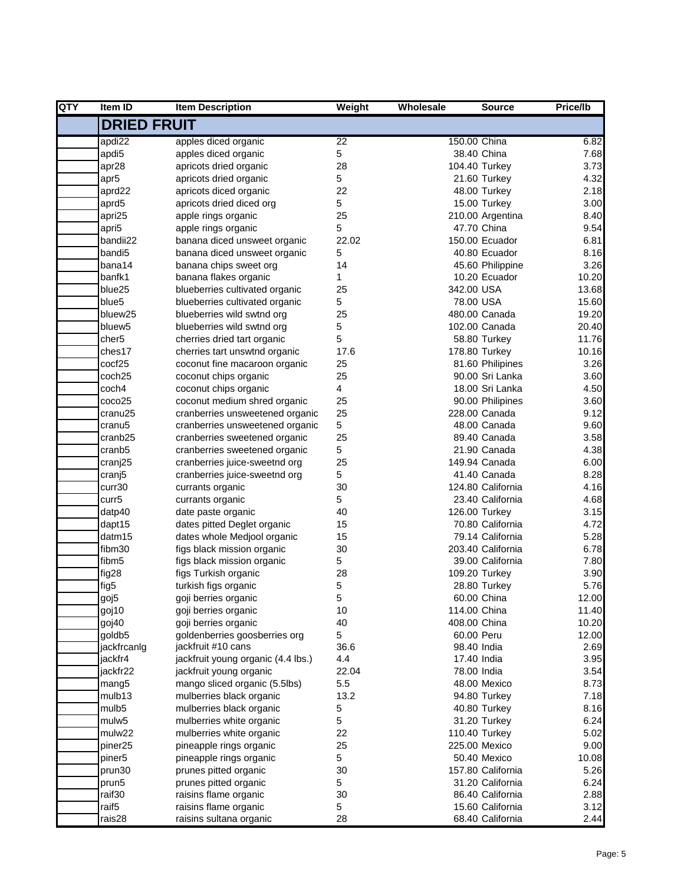| QTY | Item ID             | <b>Item Description</b>            | Weight | Wholesale    | <b>Source</b>     | <b>Price/lb</b> |
|-----|---------------------|------------------------------------|--------|--------------|-------------------|-----------------|
|     | <b>DRIED FRUIT</b>  |                                    |        |              |                   |                 |
|     | apdi22              | apples diced organic               | 22     | 150.00 China |                   | 6.82            |
|     | apdi <sub>5</sub>   | apples diced organic               | 5      |              | 38.40 China       | 7.68            |
|     | apr28               | apricots dried organic             | 28     |              | 104.40 Turkey     | 3.73            |
|     | apr <sub>5</sub>    | apricots dried organic             | 5      |              | 21.60 Turkey      | 4.32            |
|     | aprd22              | apricots diced organic             | 22     |              | 48.00 Turkey      | 2.18            |
|     | aprd5               | apricots dried diced org           | 5      |              | 15.00 Turkey      | 3.00            |
|     | apri25              | apple rings organic                | 25     |              | 210.00 Argentina  | 8.40            |
|     | apri5               | apple rings organic                | 5      |              | 47.70 China       | 9.54            |
|     | bandii22            | banana diced unsweet organic       | 22.02  |              | 150.00 Ecuador    | 6.81            |
|     | bandi <sub>5</sub>  | banana diced unsweet organic       | 5      |              | 40.80 Ecuador     | 8.16            |
|     | bana14              | banana chips sweet org             | 14     |              | 45.60 Philippine  | 3.26            |
|     | banfk1              | banana flakes organic              | 1      |              | 10.20 Ecuador     | 10.20           |
|     | blue25              | blueberries cultivated organic     | 25     | 342.00 USA   |                   | 13.68           |
|     | blue <sub>5</sub>   | blueberries cultivated organic     | 5      | 78.00 USA    |                   | 15.60           |
|     | bluew25             | blueberries wild swtnd org         | 25     |              | 480.00 Canada     | 19.20           |
|     | bluew <sub>5</sub>  | blueberries wild swtnd org         | 5      |              | 102.00 Canada     | 20.40           |
|     | cher <sub>5</sub>   | cherries dried tart organic        | 5      |              | 58.80 Turkey      | 11.76           |
|     | ches17              | cherries tart unswtnd organic      | 17.6   |              | 178.80 Turkey     | 10.16           |
|     | cocf25              | coconut fine macaroon organic      | 25     |              | 81.60 Philipines  | 3.26            |
|     | coch <sub>25</sub>  | coconut chips organic              | 25     |              | 90.00 Sri Lanka   | 3.60            |
|     | coch4               | coconut chips organic              | 4      |              | 18.00 Sri Lanka   | 4.50            |
|     | coco25              | coconut medium shred organic       | 25     |              | 90.00 Philipines  | 3.60            |
|     | cranu25             | cranberries unsweetened organic    | 25     |              | 228.00 Canada     | 9.12            |
|     | cranu <sub>5</sub>  | cranberries unsweetened organic    | 5      |              | 48.00 Canada      | 9.60            |
|     | cranb25             | cranberries sweetened organic      | 25     |              | 89.40 Canada      | 3.58            |
|     | cranb5              | cranberries sweetened organic      | 5      |              | 21.90 Canada      | 4.38            |
|     | cranj25             | cranberries juice-sweetnd org      | 25     |              | 149.94 Canada     | 6.00            |
|     | cranj5              | cranberries juice-sweetnd org      | 5      |              | 41.40 Canada      | 8.28            |
|     | curr30              | currants organic                   | 30     |              | 124.80 California | 4.16            |
|     | curr <sub>5</sub>   | currants organic                   | 5      |              | 23.40 California  | 4.68            |
|     | datp40              | date paste organic                 | 40     |              | 126.00 Turkey     | 3.15            |
|     | dapt15              | dates pitted Deglet organic        | 15     |              | 70.80 California  | 4.72            |
|     | datm15              | dates whole Medjool organic        | 15     |              | 79.14 California  | 5.28            |
|     | fibm30              | figs black mission organic         | 30     |              | 203.40 California | 6.78            |
|     | fibm <sub>5</sub>   | figs black mission organic         | 5      |              | 39.00 California  | 7.80            |
|     | fig28               | figs Turkish organic               | 28     |              | 109.20 Turkey     | 3.90            |
|     | fig5                | turkish figs organic               | 5      |              | 28.80 Turkey      | 5.76            |
|     | goj5                | goji berries organic               | 5      |              | 60.00 China       | 12.00           |
|     | goj10               | goji berries organic               | 10     | 114.00 China |                   | 11.40           |
|     | goj40               | goji berries organic               | 40     | 408.00 China |                   | 10.20           |
|     | goldb5              | goldenberries goosberries org      | 5      | 60.00 Peru   |                   | 12.00           |
|     | jackfrcanlg         | jackfruit #10 cans                 | 36.6   | 98.40 India  |                   | 2.69            |
|     | jackfr4             | jackfruit young organic (4.4 lbs.) | 4.4    | 17.40 India  |                   | 3.95            |
|     | iackfr22            | jackfruit young organic            | 22.04  | 78.00 India  |                   | 3.54            |
|     | mang <sub>5</sub>   | mango sliced organic (5.5lbs)      | 5.5    |              | 48.00 Mexico      | 8.73            |
|     | mulb13              | mulberries black organic           | 13.2   |              | 94.80 Turkey      | 7.18            |
|     | mulb <sub>5</sub>   | mulberries black organic           | 5      |              | 40.80 Turkey      | 8.16            |
|     | mulw <sub>5</sub>   | mulberries white organic           | 5      |              | 31.20 Turkey      | 6.24            |
|     | mulw22              | mulberries white organic           | 22     |              | 110.40 Turkey     | 5.02            |
|     | piner <sub>25</sub> |                                    | 25     |              | 225.00 Mexico     | 9.00            |
|     |                     | pineapple rings organic            |        |              | 50.40 Mexico      |                 |
|     | piner <sub>5</sub>  | pineapple rings organic            | 5      |              |                   | 10.08           |
|     | prun30              | prunes pitted organic              | 30     |              | 157.80 California | 5.26            |
|     | prun5               | prunes pitted organic              | 5      |              | 31.20 California  | 6.24            |
|     | raif30              | raisins flame organic              | 30     |              | 86.40 California  | 2.88            |
|     | raif <sub>5</sub>   | raisins flame organic              | 5      |              | 15.60 California  | 3.12            |
|     | rais28              | raisins sultana organic            | 28     |              | 68.40 California  | 2.44            |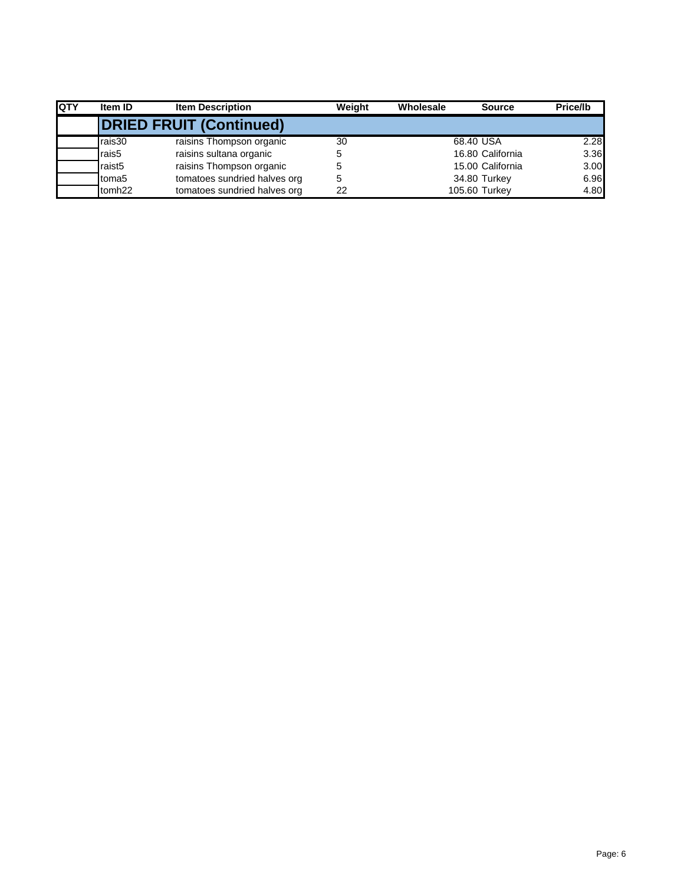| <b>QTY</b> | Item ID            | <b>Item Description</b>        | Weiaht | Wholesale | <b>Source</b>    | Price/lb |
|------------|--------------------|--------------------------------|--------|-----------|------------------|----------|
|            |                    | <b>DRIED FRUIT (Continued)</b> |        |           |                  |          |
|            | rais30             | raisins Thompson organic       | 30     |           | 68.40 USA        | 2.28     |
|            | rais5              | raisins sultana organic        | 5      |           | 16.80 California | 3.36     |
|            | raist <sub>5</sub> | raisins Thompson organic       | 5      |           | 15.00 California | 3.00     |
|            | toma <sub>5</sub>  | tomatoes sundried halves org   | 5      |           | 34.80 Turkey     | 6.96     |
|            | tomh <sub>22</sub> | tomatoes sundried halves org   | 22     |           | 105.60 Turkey    | 4.80     |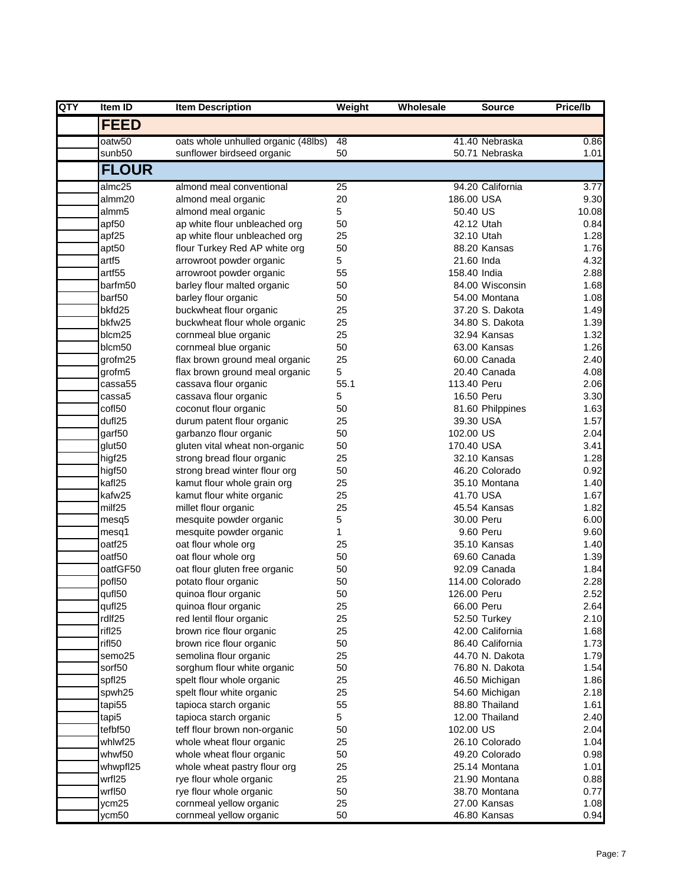| QTY | Item ID            | <b>Item Description</b>                        | Weight   | Wholesale    | <b>Source</b>           | Price/lb     |
|-----|--------------------|------------------------------------------------|----------|--------------|-------------------------|--------------|
|     | <b>FEED</b>        |                                                |          |              |                         |              |
|     | oatw50             | oats whole unhulled organic (48lbs)            | 48       |              | 41.40 Nebraska          | 0.86         |
|     | sunb50             | sunflower birdseed organic                     | 50       |              | 50.71 Nebraska          | 1.01         |
|     | <b>FLOUR</b>       |                                                |          |              |                         |              |
|     | almc25             | almond meal conventional                       | 25       |              | 94.20 California        | 3.77         |
|     | almm20             | almond meal organic                            | 20       | 186.00 USA   |                         | 9.30         |
|     | almm <sub>5</sub>  | almond meal organic                            | 5        | 50.40 US     |                         | 10.08        |
|     | apf50              | ap white flour unbleached org                  | 50       |              | 42.12 Utah              | 0.84         |
|     | apf25              | ap white flour unbleached org                  | 25       |              | 32.10 Utah              | 1.28         |
|     | apt50              | flour Turkey Red AP white org                  | 50       |              | 88.20 Kansas            | 1.76         |
|     | artf5              | arrowroot powder organic                       | 5        | 21.60 Inda   |                         | 4.32         |
|     | artf55             | arrowroot powder organic                       | 55       | 158.40 India |                         | 2.88         |
|     | barfm50            | barley flour malted organic                    | 50       |              | 84.00 Wisconsin         | 1.68         |
|     | barf50             | barley flour organic                           | 50       |              | 54.00 Montana           | 1.08         |
|     | bkfd25             | buckwheat flour organic                        | 25       |              | 37.20 S. Dakota         | 1.49         |
|     | bkfw25             | buckwheat flour whole organic                  | 25       |              | 34.80 S. Dakota         | 1.39         |
|     | blcm25             | cornmeal blue organic                          | 25       |              | 32.94 Kansas            | 1.32         |
|     | blcm50             | cornmeal blue organic                          | 50       |              | 63.00 Kansas            | 1.26         |
|     | grofm25            | flax brown ground meal organic                 | 25       |              | 60.00 Canada            | 2.40         |
|     | grofm5             | flax brown ground meal organic                 | 5        |              | 20.40 Canada            | 4.08         |
|     | cassa55            | cassava flour organic                          | 55.1     | 113.40 Peru  |                         | 2.06         |
|     | cassa5             | cassava flour organic                          | 5        |              | 16.50 Peru              | 3.30         |
|     | cof <sub>150</sub> | coconut flour organic                          | 50       |              | 81.60 Philppines        | 1.63         |
|     | dufl25             | durum patent flour organic                     | 25       |              | 39.30 USA               | 1.57         |
|     | garf50             | garbanzo flour organic                         | 50       | 102.00 US    |                         | 2.04         |
|     | glut50             | gluten vital wheat non-organic                 | 50       | 170.40 USA   |                         | 3.41         |
|     | higf25             | strong bread flour organic                     | 25       |              | 32.10 Kansas            | 1.28         |
|     | higf <sub>50</sub> | strong bread winter flour org                  | 50       |              | 46.20 Colorado          | 0.92         |
|     | kafl25             | kamut flour whole grain org                    | 25       |              | 35.10 Montana           | 1.40         |
|     | kafw25             | kamut flour white organic                      | 25<br>25 |              | 41.70 USA               | 1.67         |
|     | milf25             | millet flour organic                           |          |              | 45.54 Kansas            | 1.82         |
|     | mesq5              | mesquite powder organic                        | 5<br>1   |              | 30.00 Peru<br>9.60 Peru | 6.00         |
|     | mesq1<br>oatf25    | mesquite powder organic<br>oat flour whole org | 25       |              | 35.10 Kansas            | 9.60         |
|     | oatf50             | oat flour whole org                            | 50       |              | 69.60 Canada            | 1.40<br>1.39 |
|     | oatfGF50           | oat flour gluten free organic                  | 50       |              | 92.09 Canada            | 1.84         |
|     | pofl50             | potato flour organic                           | 50       |              | 114.00 Colorado         | 2.28         |
|     | qufl50             | quinoa flour organic                           | 50       | 126.00 Peru  |                         | 2.52         |
|     | qufl25             | quinoa flour organic                           | 25       | 66.00 Peru   |                         | 2.64         |
|     | rdlf25             | red lentil flour organic                       | 25       |              | 52.50 Turkey            | 2.10         |
|     | rifl25             | brown rice flour organic                       | 25       |              | 42.00 California        | 1.68         |
|     | rifl50             | brown rice flour organic                       | 50       |              | 86.40 California        | 1.73         |
|     | semo25             | semolina flour organic                         | 25       |              | 44.70 N. Dakota         | 1.79         |
|     | sorf50             | sorghum flour white organic                    | 50       |              | 76.80 N. Dakota         | 1.54         |
|     | spfl25             | spelt flour whole organic                      | 25       |              | 46.50 Michigan          | 1.86         |
|     | spwh25             | spelt flour white organic                      | 25       |              | 54.60 Michigan          | 2.18         |
|     | tapi55             | tapioca starch organic                         | 55       |              | 88.80 Thailand          | 1.61         |
|     | tapi5              | tapioca starch organic                         | 5        |              | 12.00 Thailand          | 2.40         |
|     | tefbf50            | teff flour brown non-organic                   | 50       | 102.00 US    |                         | 2.04         |
|     | whlwf25            | whole wheat flour organic                      | 25       |              | 26.10 Colorado          | 1.04         |
|     | whwf50             | whole wheat flour organic                      | 50       |              | 49.20 Colorado          | 0.98         |
|     | whwpfl25           | whole wheat pastry flour org                   | 25       |              | 25.14 Montana           | 1.01         |
|     | wrfl25             | rye flour whole organic                        | 25       |              | 21.90 Montana           | 0.88         |
|     | wrfl50             | rye flour whole organic                        | 50       |              | 38.70 Montana           | 0.77         |
|     | ycm25              | cornmeal yellow organic                        | 25       |              | 27.00 Kansas            | 1.08         |
|     | ycm50              | cornmeal yellow organic                        | 50       |              | 46.80 Kansas            | 0.94         |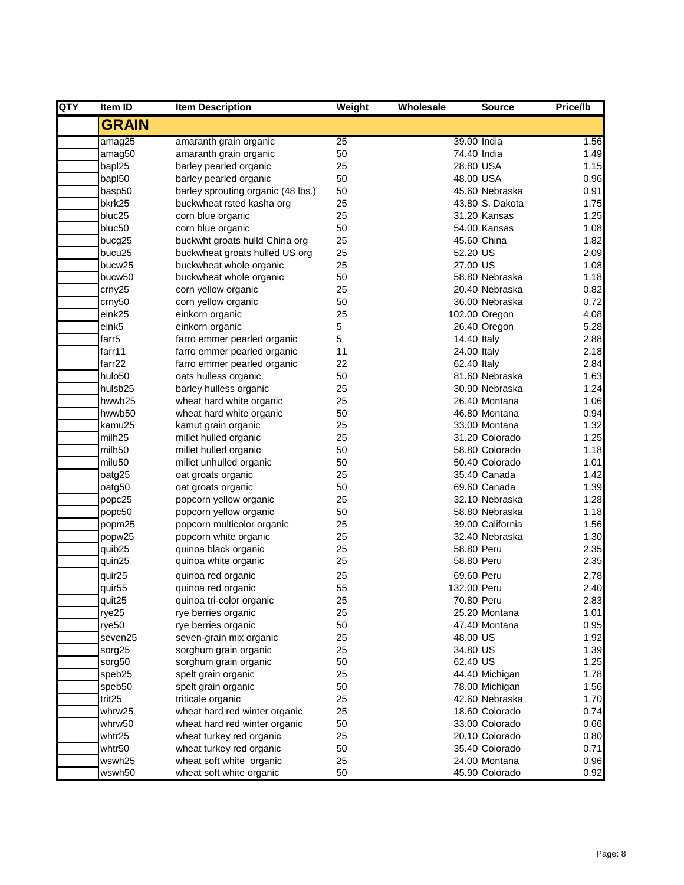| QTY | Item ID             | <b>Item Description</b>            | Weight | Wholesale | <b>Source</b>    | Price/lb |
|-----|---------------------|------------------------------------|--------|-----------|------------------|----------|
|     | <b>GRAIN</b>        |                                    |        |           |                  |          |
|     | amag25              | amaranth grain organic             | 25     |           | 39.00 India      | 1.56     |
|     | amag50              | amaranth grain organic             | 50     |           | 74.40 India      | 1.49     |
|     | bapl25              | barley pearled organic             | 25     |           | 28.80 USA        | 1.15     |
|     | bapl50              | barley pearled organic             | 50     |           | 48.00 USA        | 0.96     |
|     | basp50              | barley sprouting organic (48 lbs.) | 50     |           | 45.60 Nebraska   | 0.91     |
|     | bkrk25              | buckwheat rsted kasha org          | 25     |           | 43.80 S. Dakota  | 1.75     |
|     | bluc25              | corn blue organic                  | 25     |           | 31.20 Kansas     | 1.25     |
|     | bluc50              | corn blue organic                  | 50     |           | 54.00 Kansas     | 1.08     |
|     | bucg25              | buckwht groats hulld China org     | 25     |           | 45.60 China      | 1.82     |
|     | bucu25              | buckwheat groats hulled US org     | 25     | 52.20 US  |                  | 2.09     |
|     | bucw25              | buckwheat whole organic            | 25     | 27.00 US  |                  | 1.08     |
|     | bucw50              | buckwheat whole organic            | 50     |           | 58.80 Nebraska   | 1.18     |
|     | crny25              | corn yellow organic                | 25     |           | 20.40 Nebraska   | 0.82     |
|     | crny50              | corn yellow organic                | 50     |           | 36.00 Nebraska   | 0.72     |
|     | eink25              | einkorn organic                    | 25     |           | 102.00 Oregon    | 4.08     |
|     | eink5               | einkorn organic                    | 5      |           | 26.40 Oregon     | 5.28     |
|     | farr <sub>5</sub>   | farro emmer pearled organic        | 5      |           | 14.40 Italy      | 2.88     |
|     | farr11              | farro emmer pearled organic        | 11     |           | 24.00 Italy      | 2.18     |
|     | farr22              | farro emmer pearled organic        | 22     |           | 62.40 Italy      | 2.84     |
|     | hulo50              | oats hulless organic               | 50     |           | 81.60 Nebraska   | 1.63     |
|     | hulsb <sub>25</sub> | barley hulless organic             | 25     |           | 30.90 Nebraska   | 1.24     |
|     | hwwb25              | wheat hard white organic           | 25     |           | 26.40 Montana    | 1.06     |
|     | hwwb50              | wheat hard white organic           | 50     |           | 46.80 Montana    | 0.94     |
|     | kamu25              | kamut grain organic                | 25     |           | 33.00 Montana    | 1.32     |
|     | milh <sub>25</sub>  | millet hulled organic              | 25     |           | 31.20 Colorado   | 1.25     |
|     | milh50              | millet hulled organic              | 50     |           | 58.80 Colorado   | 1.18     |
|     | milu50              | millet unhulled organic            | 50     |           | 50.40 Colorado   | 1.01     |
|     | oatg25              | oat groats organic                 | 25     |           | 35.40 Canada     | 1.42     |
|     | oatg50              | oat groats organic                 | 50     |           | 69.60 Canada     | 1.39     |
|     | popc25              | popcorn yellow organic             | 25     |           | 32.10 Nebraska   | 1.28     |
|     | popc50              | popcorn yellow organic             | 50     |           | 58.80 Nebraska   | 1.18     |
|     | popm25              | popcorn multicolor organic         | 25     |           | 39.00 California | 1.56     |
|     | popw25              | popcorn white organic              | 25     |           | 32.40 Nebraska   | 1.30     |
|     | quib25              | quinoa black organic               | 25     |           | 58.80 Peru       | 2.35     |
|     | quin25              | quinoa white organic               | 25     |           | 58.80 Peru       | 2.35     |
|     | quir25              | quinoa red organic                 | 25     |           | 69.60 Peru       | 2.78     |
|     | quir <sub>55</sub>  | quinoa red organic                 | 55     |           | 132.00 Peru      | 2.40     |
|     | quit25              | quinoa tri-color organic           | 25     |           | 70.80 Peru       | 2.83     |
|     | rye25               | rye berries organic                | 25     |           | 25.20 Montana    | 1.01     |
|     | rye <sub>50</sub>   | rye berries organic                | 50     |           | 47.40 Montana    | 0.95     |
|     | seven25             | seven-grain mix organic            | 25     | 48.00 US  |                  | 1.92     |
|     | sorg25              | sorghum grain organic              | 25     | 34.80 US  |                  | 1.39     |
|     | sorg50              | sorghum grain organic              | 50     | 62.40 US  |                  | 1.25     |
|     | speb25              | spelt grain organic                | 25     |           | 44.40 Michigan   | 1.78     |
|     | speb50              | spelt grain organic                | 50     |           | 78.00 Michigan   | 1.56     |
|     | trit25              | triticale organic                  | 25     |           | 42.60 Nebraska   | 1.70     |
|     | whrw25              | wheat hard red winter organic      | 25     |           | 18.60 Colorado   | 0.74     |
|     | whrw50              | wheat hard red winter organic      | 50     |           | 33.00 Colorado   | 0.66     |
|     |                     |                                    |        |           | 20.10 Colorado   |          |
|     | whtr25              | wheat turkey red organic           | 25     |           | 35.40 Colorado   | 0.80     |
|     | whtr50<br>wswh25    | wheat turkey red organic           | 50     |           | 24.00 Montana    | 0.71     |
|     |                     | wheat soft white organic           | 25     |           |                  | 0.96     |
|     | wswh50              | wheat soft white organic           | 50     |           | 45.90 Colorado   | 0.92     |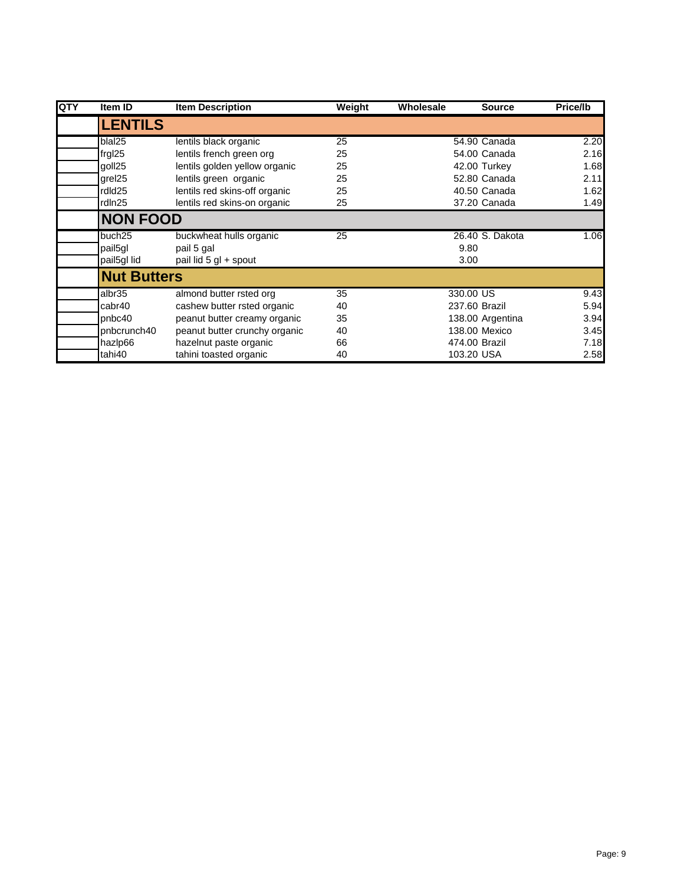| QTY | Item ID            | <b>Item Description</b>       | Weight | Wholesale | <b>Source</b>    | Price/lb |
|-----|--------------------|-------------------------------|--------|-----------|------------------|----------|
|     | <b>LENTILS</b>     |                               |        |           |                  |          |
|     | blal25             | lentils black organic         | 25     |           | 54.90 Canada     | 2.20     |
|     | frgl25             | lentils french green org      | 25     |           | 54.00 Canada     | 2.16     |
|     | goll25             | lentils golden yellow organic | 25     |           | 42.00 Turkey     | 1.68     |
|     | grel <sub>25</sub> | lentils green organic         | 25     |           | 52.80 Canada     | 2.11     |
|     | rdld25             | lentils red skins-off organic | 25     |           | 40.50 Canada     | 1.62     |
|     | rdln25             | lentils red skins-on organic  | 25     |           | 37.20 Canada     | 1.49     |
|     | <b>NON FOOD</b>    |                               |        |           |                  |          |
|     | buch25             | buckwheat hulls organic       | 25     |           | 26.40 S. Dakota  | 1.06     |
|     | pail5gl            | pail 5 gal                    |        |           | 9.80             |          |
|     | pail5gl lid        | pail lid 5 gl + spout         |        |           | 3.00             |          |
|     | <b>Nut Butters</b> |                               |        |           |                  |          |
|     | albr <sub>35</sub> | almond butter rsted org       | 35     |           | 330.00 US        | 9.43     |
|     | cabr40             | cashew butter rsted organic   | 40     |           | 237.60 Brazil    | 5.94     |
|     | pnbc40             | peanut butter creamy organic  | 35     |           | 138.00 Argentina | 3.94     |
|     | pnbcrunch40        | peanut butter crunchy organic | 40     |           | 138,00 Mexico    | 3.45     |
|     | hazlp66            | hazelnut paste organic        | 66     |           | 474.00 Brazil    | 7.18     |
|     | tahi40             | tahini toasted organic        | 40     |           | 103.20 USA       | 2.58     |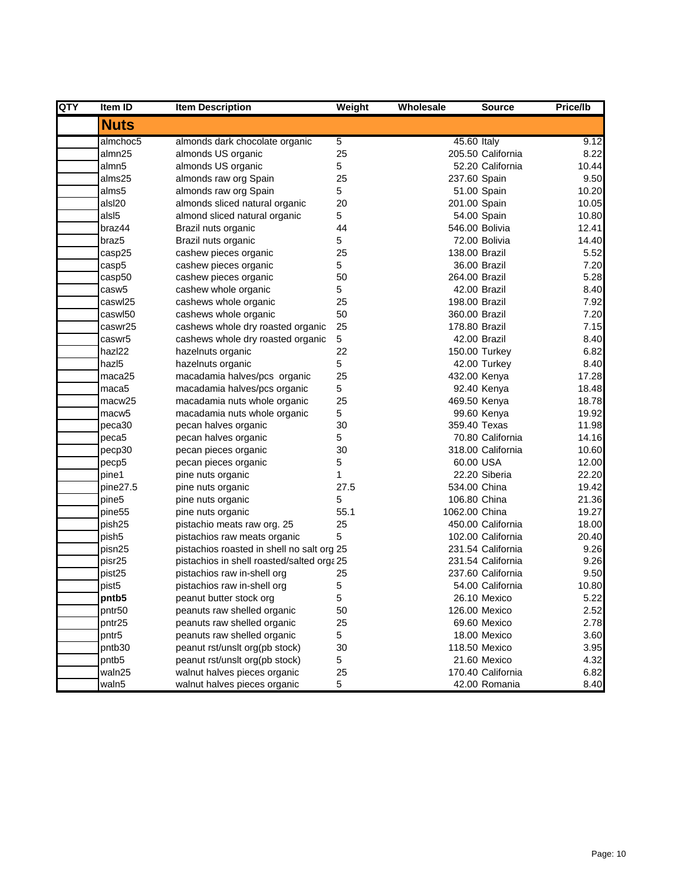| QTY | <b>Item ID</b>     | <b>Item Description</b>                    | Weight         | Wholesale     | <b>Source</b>     | Price/lb |
|-----|--------------------|--------------------------------------------|----------------|---------------|-------------------|----------|
|     | <b>Nuts</b>        |                                            |                |               |                   |          |
|     | almchoc5           | almonds dark chocolate organic             | 5              | 45.60 Italy   |                   | 9.12     |
|     | almn25             | almonds US organic                         | 25             |               | 205.50 California | 8.22     |
|     | almn5              | almonds US organic                         | 5              |               | 52.20 California  | 10.44    |
|     | alms25             | almonds raw org Spain                      | 25             | 237.60 Spain  |                   | 9.50     |
|     | alms5              | almonds raw org Spain                      | 5              |               | 51.00 Spain       | 10.20    |
|     | alsl20             | almonds sliced natural organic             | 20             | 201.00 Spain  |                   | 10.05    |
|     | als <sub>15</sub>  | almond sliced natural organic              | 5              |               | 54.00 Spain       | 10.80    |
|     | braz44             | Brazil nuts organic                        | 44             |               | 546.00 Bolivia    | 12.41    |
|     | braz <sub>5</sub>  | Brazil nuts organic                        | 5              |               | 72.00 Bolivia     | 14.40    |
|     | casp25             | cashew pieces organic                      | 25             | 138.00 Brazil |                   | 5.52     |
|     | casp5              | cashew pieces organic                      | 5              |               | 36.00 Brazil      | 7.20     |
|     | casp50             | cashew pieces organic                      | 50             | 264.00 Brazil |                   | 5.28     |
|     | casw <sub>5</sub>  | cashew whole organic                       | 5              |               | 42.00 Brazil      | 8.40     |
|     | caswl25            | cashews whole organic                      | 25             | 198.00 Brazil |                   | 7.92     |
|     | caswl50            | cashews whole organic                      | 50             | 360.00 Brazil |                   | 7.20     |
|     | caswr25            | cashews whole dry roasted organic          | 25             | 178.80 Brazil |                   | 7.15     |
|     | caswr5             | cashews whole dry roasted organic          | 5              |               | 42.00 Brazil      | 8.40     |
|     | hazl22             | hazelnuts organic                          | 22             |               | 150.00 Turkey     | 6.82     |
|     | hazl <sub>5</sub>  | hazelnuts organic                          | $\overline{5}$ |               | 42.00 Turkey      | 8.40     |
|     | maca25             | macadamia halves/pcs organic               | 25             | 432.00 Kenya  |                   | 17.28    |
|     | maca5              | macadamia halves/pcs organic               | 5              |               | 92.40 Kenya       | 18.48    |
|     | macw25             | macadamia nuts whole organic               | 25             | 469.50 Kenya  |                   | 18.78    |
|     | macw <sub>5</sub>  | macadamia nuts whole organic               | 5              |               | 99.60 Kenya       | 19.92    |
|     | peca30             | pecan halves organic                       | 30             | 359.40 Texas  |                   | 11.98    |
|     | peca5              | pecan halves organic                       | 5              |               | 70.80 California  | 14.16    |
|     | pecp30             | pecan pieces organic                       | 30             |               | 318.00 California | 10.60    |
|     | pecp5              | pecan pieces organic                       | 5              | 60.00 USA     |                   | 12.00    |
|     | pine1              | pine nuts organic                          | 1              |               | 22.20 Siberia     | 22.20    |
|     | pine27.5           | pine nuts organic                          | 27.5           | 534.00 China  |                   | 19.42    |
|     | pine5              | pine nuts organic                          | 5              | 106.80 China  |                   | 21.36    |
|     | pine <sub>55</sub> | pine nuts organic                          | 55.1           | 1062.00 China |                   | 19.27    |
|     | pish25             | pistachio meats raw org. 25                | 25             |               | 450.00 California | 18.00    |
|     | pish5              | pistachios raw meats organic               | 5              |               | 102.00 California | 20.40    |
|     | pisn25             | pistachios roasted in shell no salt org 25 |                |               | 231.54 California | 9.26     |
|     | pisr25             | pistachios in shell roasted/salted orga 25 |                |               | 231.54 California | 9.26     |
|     | pist25             | pistachios raw in-shell org                | 25             |               | 237.60 California | 9.50     |
|     | pist <sub>5</sub>  | pistachios raw in-shell org                | 5              |               | 54.00 California  | 10.80    |
|     | pntb5              | peanut butter stock org                    | 5              |               | 26.10 Mexico      | 5.22     |
|     | pntr50             | peanuts raw shelled organic                | 50             |               | 126.00 Mexico     | 2.52     |
|     | pntr25             | peanuts raw shelled organic                | 25             |               | 69.60 Mexico      | 2.78     |
|     | pntr5              | peanuts raw shelled organic                | 5              |               | 18.00 Mexico      | 3.60     |
|     | pntb30             | peanut rst/unslt org(pb stock)             | 30             |               | 118.50 Mexico     | 3.95     |
|     | pntb5              | peanut rst/unslt org(pb stock)             | 5              |               | 21.60 Mexico      | 4.32     |
|     | waln25             | walnut halves pieces organic               | 25             |               | 170.40 California | 6.82     |
|     | waln5              | walnut halves pieces organic               | 5              |               | 42.00 Romania     | 8.40     |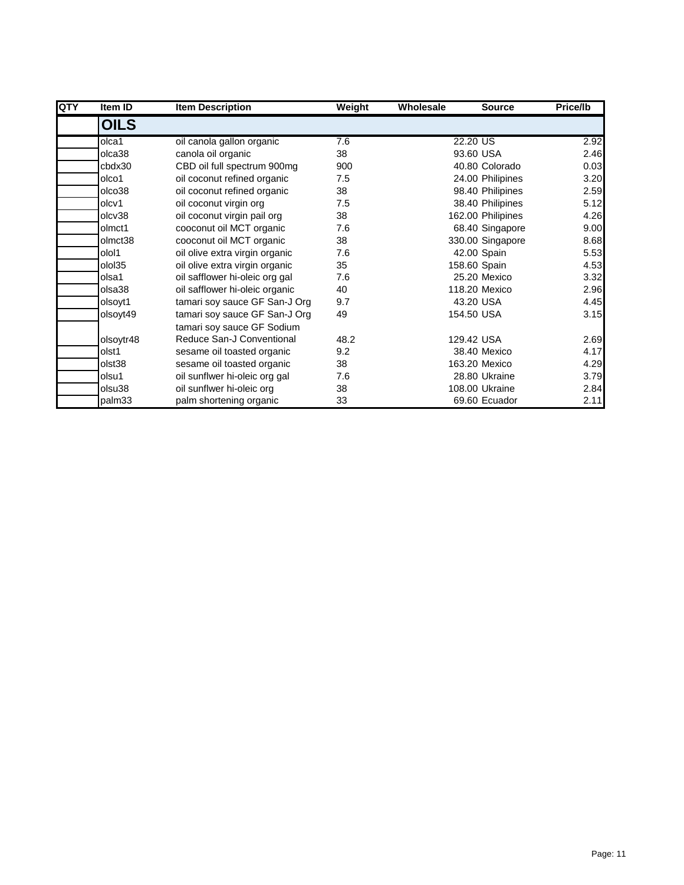| <b>QTY</b> | Item ID     | <b>Item Description</b>        | Weight | Wholesale | <b>Source</b>     | Price/lb |
|------------|-------------|--------------------------------|--------|-----------|-------------------|----------|
|            | <b>OILS</b> |                                |        |           |                   |          |
|            | olca1       | oil canola gallon organic      | 7.6    |           | 22.20 US          | 2.92     |
|            | olca38      | canola oil organic             | 38     |           | 93.60 USA         | 2.46     |
|            | cbdx30      | CBD oil full spectrum 900mg    | 900    |           | 40.80 Colorado    | 0.03     |
|            | olco1       | oil coconut refined organic    | 7.5    |           | 24.00 Philipines  | 3.20     |
|            | olco38      | oil coconut refined organic    | 38     |           | 98.40 Philipines  | 2.59     |
|            | olcv1       | oil coconut virgin org         | 7.5    |           | 38.40 Philipines  | 5.12     |
|            | olcv38      | oil coconut virgin pail org    | 38     |           | 162.00 Philipines | 4.26     |
|            | olmct1      | cooconut oil MCT organic       | 7.6    |           | 68.40 Singapore   | 9.00     |
|            | olmct38     | cooconut oil MCT organic       | 38     |           | 330.00 Singapore  | 8.68     |
|            | olol1       | oil olive extra virgin organic | 7.6    |           | 42.00 Spain       | 5.53     |
|            | olol35      | oil olive extra virgin organic | 35     |           | 158.60 Spain      | 4.53     |
|            | olsa1       | oil safflower hi-oleic org gal | 7.6    |           | 25.20 Mexico      | 3.32     |
|            | olsa38      | oil safflower hi-oleic organic | 40     |           | 118.20 Mexico     | 2.96     |
|            | olsoyt1     | tamari soy sauce GF San-J Org  | 9.7    |           | 43.20 USA         | 4.45     |
|            | olsoyt49    | tamari soy sauce GF San-J Org  | 49     |           | 154.50 USA        | 3.15     |
|            |             | tamari soy sauce GF Sodium     |        |           |                   |          |
|            | olsoytr48   | Reduce San-J Conventional      | 48.2   |           | 129.42 USA        | 2.69     |
|            | olst1       | sesame oil toasted organic     | 9.2    |           | 38.40 Mexico      | 4.17     |
|            | olst38      | sesame oil toasted organic     | 38     |           | 163.20 Mexico     | 4.29     |
|            | olsu1       | oil sunflwer hi-oleic org gal  | 7.6    |           | 28.80 Ukraine     | 3.79     |
|            | olsu38      | oil sunflwer hi-oleic org      | 38     |           | 108.00 Ukraine    | 2.84     |
|            | palm33      | palm shortening organic        | 33     |           | 69.60 Ecuador     | 2.11     |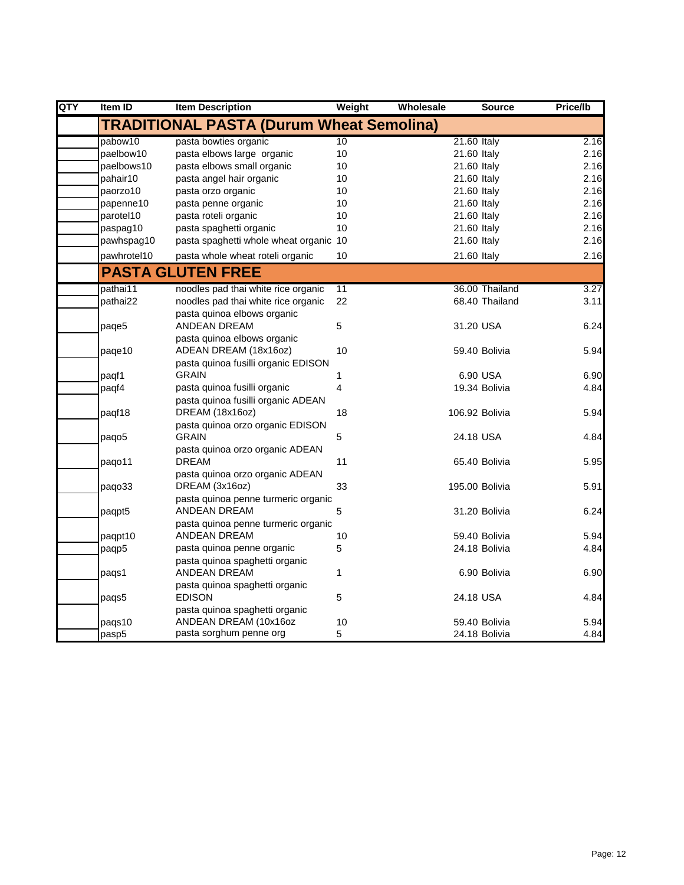| QTY | Item ID     | <b>Item Description</b>                          | Weight         | Wholesale | <b>Source</b>  | Price/lb |
|-----|-------------|--------------------------------------------------|----------------|-----------|----------------|----------|
|     |             | <b>TRADITIONAL PASTA (Durum Wheat Semolina)</b>  |                |           |                |          |
|     | pabow10     | pasta bowties organic                            | 10             |           | 21.60 Italy    | 2.16     |
|     | paelbow10   | pasta elbows large organic                       | 10             |           | 21.60 Italy    | 2.16     |
|     | paelbows10  | pasta elbows small organic                       | 10             |           | 21.60 Italy    | 2.16     |
|     | pahair10    | pasta angel hair organic                         | 10             |           | 21.60 Italy    | 2.16     |
|     | paorzo10    | pasta orzo organic                               | 10             |           | 21.60 Italy    | 2.16     |
|     | papenne10   | pasta penne organic                              | 10             |           | 21.60 Italy    | 2.16     |
|     | parotel10   | pasta roteli organic                             | 10             |           | 21.60 Italy    | 2.16     |
|     | paspag10    | pasta spaghetti organic                          | 10             |           | 21.60 Italy    | 2.16     |
|     | pawhspag10  | pasta spaghetti whole wheat organic 10           |                |           | 21.60 Italy    | 2.16     |
|     | pawhrotel10 | pasta whole wheat roteli organic                 | 10             |           | 21.60 Italy    | 2.16     |
|     |             | <b>PASTA GLUTEN FREE</b>                         |                |           |                |          |
|     | pathai11    | noodles pad thai white rice organic              | 11             |           | 36.00 Thailand | 3.27     |
|     | pathai22    | noodles pad thai white rice organic              | 22             |           | 68.40 Thailand | 3.11     |
|     |             | pasta quinoa elbows organic                      |                |           |                |          |
|     | paqe5       | <b>ANDEAN DREAM</b>                              | $\overline{5}$ |           | 31.20 USA      | 6.24     |
|     |             | pasta quinoa elbows organic                      |                |           |                |          |
|     | page10      | ADEAN DREAM (18x16oz)                            | 10             |           | 59.40 Bolivia  | 5.94     |
|     |             | pasta quinoa fusilli organic EDISON              |                |           |                |          |
|     | paqf1       | <b>GRAIN</b>                                     | 1              |           | 6.90 USA       | 6.90     |
|     | paqf4       | pasta quinoa fusilli organic                     | 4              |           | 19.34 Bolivia  | 4.84     |
|     |             | pasta quinoa fusilli organic ADEAN               |                |           |                |          |
|     | paqf18      | DREAM (18x16oz)                                  | 18             |           | 106.92 Bolivia | 5.94     |
|     |             | pasta quinoa orzo organic EDISON                 |                |           |                |          |
|     | paqo5       | <b>GRAIN</b>                                     | $\mathbf 5$    |           | 24.18 USA      | 4.84     |
|     |             | pasta quinoa orzo organic ADEAN                  |                |           |                |          |
|     | pago11      | <b>DREAM</b>                                     | 11             |           | 65.40 Bolivia  | 5.95     |
|     |             | pasta quinoa orzo organic ADEAN                  |                |           |                |          |
|     | paqo33      | DREAM (3x16oz)                                   | 33             |           | 195.00 Bolivia | 5.91     |
|     |             | pasta quinoa penne turmeric organic              |                |           |                |          |
|     | paqpt5      | <b>ANDEAN DREAM</b>                              | 5              |           | 31.20 Bolivia  | 6.24     |
|     |             | pasta quinoa penne turmeric organic              |                |           |                |          |
|     | paqpt10     | ANDEAN DREAM                                     | 10             |           | 59.40 Bolivia  | 5.94     |
|     | paqp5       | pasta quinoa penne organic                       | 5              |           | 24.18 Bolivia  | 4.84     |
|     |             | pasta quinoa spaghetti organic                   |                |           |                |          |
|     | pags1       | ANDEAN DREAM                                     | 1              |           | 6.90 Bolivia   | 6.90     |
|     |             | pasta quinoa spaghetti organic                   |                |           |                |          |
|     | paqs5       | <b>EDISON</b>                                    | $\sqrt{5}$     |           | 24.18 USA      | 4.84     |
|     |             | pasta quinoa spaghetti organic                   |                |           |                |          |
|     | paqs10      | ANDEAN DREAM (10x16oz<br>pasta sorghum penne org | 10             |           | 59.40 Bolivia  | 5.94     |
|     | pasp5       |                                                  | 5              |           | 24.18 Bolivia  | 4.84     |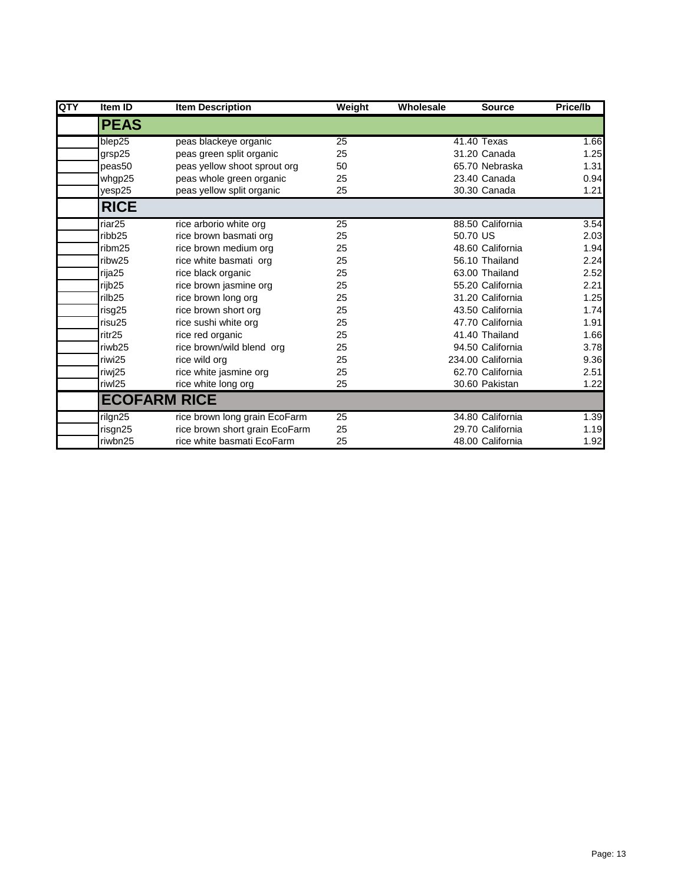| QTY | Item ID             | <b>Item Description</b>        | Weight | Wholesale | <b>Source</b>     | Price/lb |
|-----|---------------------|--------------------------------|--------|-----------|-------------------|----------|
|     | <b>PEAS</b>         |                                |        |           |                   |          |
|     | blep25              | peas blackeye organic          | 25     |           | 41.40 Texas       | 1.66     |
|     | grsp25              | peas green split organic       | 25     |           | 31.20 Canada      | 1.25     |
|     | peas50              | peas yellow shoot sprout org   | 50     |           | 65.70 Nebraska    | 1.31     |
|     | whgp25              | peas whole green organic       | 25     |           | 23.40 Canada      | 0.94     |
|     | yesp25              | peas yellow split organic      | 25     |           | 30.30 Canada      | 1.21     |
|     | <b>RICE</b>         |                                |        |           |                   |          |
|     | riar <sub>25</sub>  | rice arborio white org         | 25     |           | 88.50 California  | 3.54     |
|     | ribb <sub>25</sub>  | rice brown basmati org         | 25     |           | 50.70 US          | 2.03     |
|     | ribm25              | rice brown medium org          | 25     |           | 48.60 California  | 1.94     |
|     | ribw <sub>25</sub>  | rice white basmati org         | 25     |           | 56.10 Thailand    | 2.24     |
|     | rija25              | rice black organic             | 25     |           | 63.00 Thailand    | 2.52     |
|     | rijb <sub>25</sub>  | rice brown jasmine org         | 25     |           | 55.20 California  | 2.21     |
|     | rilb <sub>25</sub>  | rice brown long org            | 25     |           | 31.20 California  | 1.25     |
|     | risg25              | rice brown short org           | 25     |           | 43.50 California  | 1.74     |
|     | risu25              | rice sushi white org           | 25     |           | 47.70 California  | 1.91     |
|     | ritr25              | rice red organic               | 25     |           | 41.40 Thailand    | 1.66     |
|     | riwb25              | rice brown/wild blend org      | 25     |           | 94.50 California  | 3.78     |
|     | riwi25              | rice wild org                  | 25     |           | 234.00 California | 9.36     |
|     | riwj25              | rice white jasmine org         | 25     |           | 62.70 California  | 2.51     |
|     | riwl25              | rice white long org            | 25     |           | 30.60 Pakistan    | 1.22     |
|     | <b>ECOFARM RICE</b> |                                |        |           |                   |          |
|     | rilgn25             | rice brown long grain EcoFarm  | 25     |           | 34.80 California  | 1.39     |
|     | risgn25             | rice brown short grain EcoFarm | 25     |           | 29.70 California  | 1.19     |
|     | riwbn25             | rice white basmati EcoFarm     | 25     |           | 48.00 California  | 1.92     |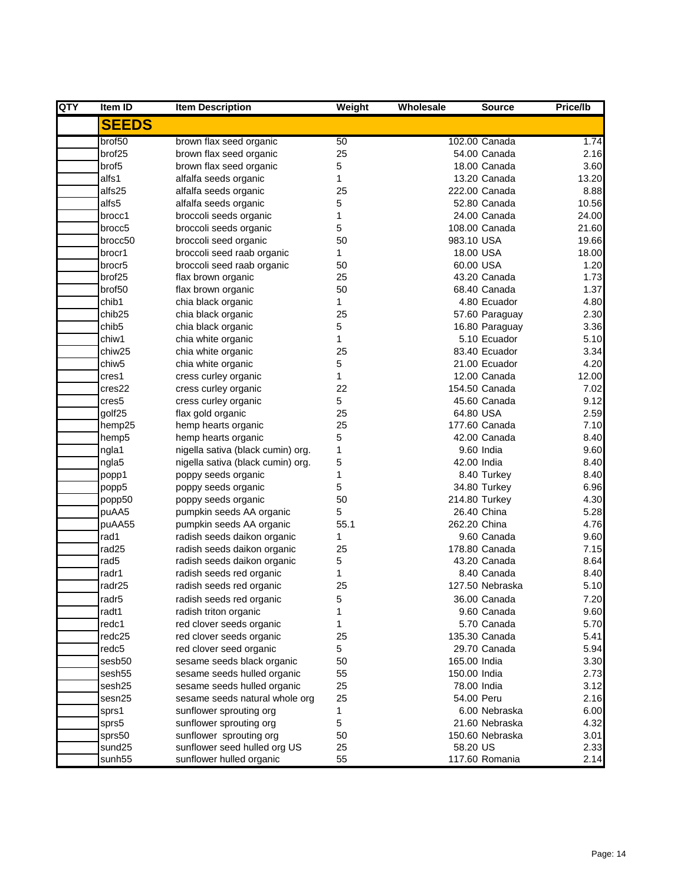| QTY | Item ID            | <b>Item Description</b>           | Weight | Wholesale    | <b>Source</b>   | Price/lb |
|-----|--------------------|-----------------------------------|--------|--------------|-----------------|----------|
|     | <b>SEEDS</b>       |                                   |        |              |                 |          |
|     | brof50             | brown flax seed organic           | 50     |              | 102.00 Canada   | 1.74     |
|     | brof25             | brown flax seed organic           | 25     |              | 54.00 Canada    | 2.16     |
|     | brof <sub>5</sub>  | brown flax seed organic           | 5      |              | 18.00 Canada    | 3.60     |
|     | alfs1              | alfalfa seeds organic             | 1      |              | 13.20 Canada    | 13.20    |
|     | alfs25             | alfalfa seeds organic             | 25     |              | 222.00 Canada   | 8.88     |
|     | alfs5              | alfalfa seeds organic             | 5      |              | 52.80 Canada    | 10.56    |
|     | brocc1             | broccoli seeds organic            | 1      |              | 24.00 Canada    | 24.00    |
|     | brocc <sub>5</sub> | broccoli seeds organic            | 5      |              | 108.00 Canada   | 21.60    |
|     | brocc50            | broccoli seed organic             | 50     | 983.10 USA   |                 | 19.66    |
|     | brocr1             | broccoli seed raab organic        | 1      | 18.00 USA    |                 | 18.00    |
|     | brocr5             | broccoli seed raab organic        | 50     | 60.00 USA    |                 | 1.20     |
|     | brof25             | flax brown organic                | 25     |              | 43.20 Canada    | 1.73     |
|     | brof50             | flax brown organic                | 50     |              | 68.40 Canada    | 1.37     |
|     | chib1              | chia black organic                | 1      |              | 4.80 Ecuador    | 4.80     |
|     | chib <sub>25</sub> | chia black organic                | 25     |              | 57.60 Paraguay  | 2.30     |
|     | chib <sub>5</sub>  | chia black organic                | 5      |              | 16.80 Paraguay  | 3.36     |
|     | chiw1              | chia white organic                | 1      |              | 5.10 Ecuador    | 5.10     |
|     | chiw <sub>25</sub> | chia white organic                | 25     |              | 83.40 Ecuador   | 3.34     |
|     | chiw <sub>5</sub>  | chia white organic                | 5      |              | 21.00 Ecuador   | 4.20     |
|     | cres1              | cress curley organic              | 1      |              | 12.00 Canada    | 12.00    |
|     | cres22             | cress curley organic              | 22     |              | 154.50 Canada   | 7.02     |
|     | cres5              | cress curley organic              | 5      |              | 45.60 Canada    | 9.12     |
|     | golf25             | flax gold organic                 | 25     | 64.80 USA    |                 | 2.59     |
|     | hemp25             | hemp hearts organic               | 25     |              | 177.60 Canada   | 7.10     |
|     | hemp5              | hemp hearts organic               | 5      |              | 42.00 Canada    | 8.40     |
|     | ngla1              | nigella sativa (black cumin) org. | 1      |              | 9.60 India      | 9.60     |
|     | ngla5              | nigella sativa (black cumin) org. | 5      | 42.00 India  |                 | 8.40     |
|     | popp1              | poppy seeds organic               | 1      |              | 8.40 Turkey     | 8.40     |
|     | popp5              | poppy seeds organic               | 5      |              | 34.80 Turkey    | 6.96     |
|     | popp50             | poppy seeds organic               | 50     |              | 214.80 Turkey   | 4.30     |
|     | puAA5              | pumpkin seeds AA organic          | 5      |              | 26.40 China     | 5.28     |
|     | puAA55             | pumpkin seeds AA organic          | 55.1   | 262.20 China |                 | 4.76     |
|     | rad1               | radish seeds daikon organic       | 1      |              | 9.60 Canada     | 9.60     |
|     | rad <sub>25</sub>  | radish seeds daikon organic       | 25     |              | 178.80 Canada   | 7.15     |
|     | rad <sub>5</sub>   | radish seeds daikon organic       | 5      |              | 43.20 Canada    | 8.64     |
|     | radr1              | radish seeds red organic          | 1      |              | 8.40 Canada     | 8.40     |
|     | radr25             | radish seeds red organic          | 25     |              | 127.50 Nebraska | 5.10     |
|     | radr <sub>5</sub>  | radish seeds red organic          | 5      |              | 36.00 Canada    | 7.20     |
|     | radt1              | radish triton organic             | 1      |              | 9.60 Canada     | 9.60     |
|     | redc1              | red clover seeds organic          | 1      |              | 5.70 Canada     | 5.70     |
|     | redc25             | red clover seeds organic          | 25     |              | 135.30 Canada   | 5.41     |
|     | redc <sub>5</sub>  | red clover seed organic           | 5      |              | 29.70 Canada    | 5.94     |
|     | sesb50             | sesame seeds black organic        | 50     | 165.00 India |                 | 3.30     |
|     | sesh55             | sesame seeds hulled organic       | 55     | 150.00 India |                 | 2.73     |
|     | sesh25             | sesame seeds hulled organic       | 25     | 78.00 India  |                 | 3.12     |
|     | sesn25             | sesame seeds natural whole org    | 25     | 54.00 Peru   |                 | 2.16     |
|     | sprs1              | sunflower sprouting org           | 1      |              | 6.00 Nebraska   | 6.00     |
|     | sprs5              | sunflower sprouting org           | 5      |              | 21.60 Nebraska  | 4.32     |
|     | sprs50             | sunflower sprouting org           | 50     |              | 150.60 Nebraska | 3.01     |
|     | sund25             | sunflower seed hulled org US      | 25     | 58.20 US     |                 | 2.33     |
|     | sunh <sub>55</sub> | sunflower hulled organic          | 55     |              | 117.60 Romania  | 2.14     |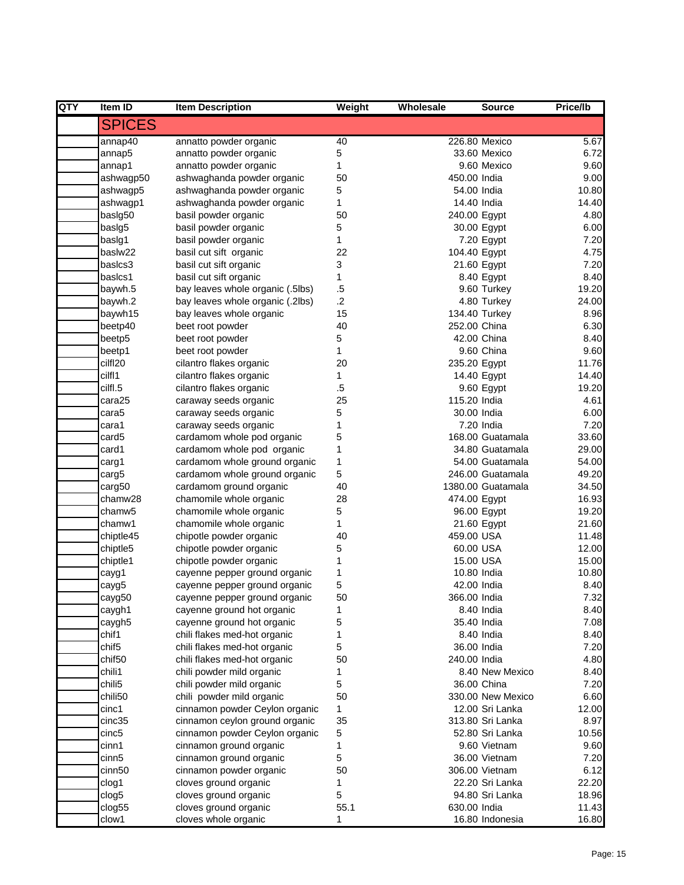| <b>QTY</b> | <b>Item ID</b>      | <b>Item Description</b>                                        | Weight  | Wholesale    | <b>Source</b>             | Price/lb       |
|------------|---------------------|----------------------------------------------------------------|---------|--------------|---------------------------|----------------|
|            | <b>SPICES</b>       |                                                                |         |              |                           |                |
|            | annap40             | annatto powder organic                                         | 40      |              | 226.80 Mexico             | 5.67           |
|            | annap5              | annatto powder organic                                         | 5       |              | 33.60 Mexico              | 6.72           |
|            | annap1              | annatto powder organic                                         | 1       |              | 9.60 Mexico               | 9.60           |
|            | ashwagp50           | ashwaghanda powder organic                                     | 50      | 450.00 India |                           | 9.00           |
|            | ashwagp5            | ashwaghanda powder organic                                     | 5       |              | 54.00 India               | 10.80          |
|            | ashwagp1            | ashwaghanda powder organic                                     | 1       |              | 14.40 India               | 14.40          |
|            | basig50             | basil powder organic                                           | 50      | 240.00 Egypt |                           | 4.80           |
|            | basig5              | basil powder organic                                           | 5       |              | 30.00 Egypt               | 6.00           |
|            | baslg1              | basil powder organic                                           | 1       |              | 7.20 Egypt                | 7.20           |
|            | baslw22<br>basics3  | basil cut sift organic                                         | 22<br>3 | 104.40 Egypt |                           | 4.75<br>7.20   |
|            | basics1             | basil cut sift organic<br>basil cut sift organic               | 1       |              | 21.60 Egypt<br>8.40 Egypt | 8.40           |
|            | baywh.5             | bay leaves whole organic (.5lbs)                               | $.5\,$  |              | 9.60 Turkey               | 19.20          |
|            | baywh.2             | bay leaves whole organic (.2lbs)                               | $.2\,$  |              | 4.80 Turkey               | 24.00          |
|            | baywh15             | bay leaves whole organic                                       | 15      |              | 134.40 Turkey             | 8.96           |
|            | beetp40             | beet root powder                                               | 40      | 252.00 China |                           | 6.30           |
|            | beetp5              | beet root powder                                               | 5       |              | 42.00 China               | 8.40           |
|            | beetp1              | beet root powder                                               | 1       |              | 9.60 China                | 9.60           |
|            | cilf <sub>120</sub> | cilantro flakes organic                                        | 20      | 235.20 Egypt |                           | 11.76          |
|            | cilf <sub>1</sub>   | cilantro flakes organic                                        | 1       |              | 14.40 Egypt               | 14.40          |
|            | cilfl.5             | cilantro flakes organic                                        | .5      |              | 9.60 Egypt                | 19.20          |
|            | cara25              | caraway seeds organic                                          | 25      | 115.20 India |                           | 4.61           |
|            | cara5               | caraway seeds organic                                          | 5       |              | 30.00 India               | 6.00           |
|            | cara1               | caraway seeds organic                                          | 1       |              | 7.20 India                | 7.20           |
|            | card <sub>5</sub>   | cardamom whole pod organic                                     | 5       |              | 168.00 Guatamala          | 33.60          |
|            | card1               | cardamom whole pod organic                                     | 1       |              | 34.80 Guatamala           | 29.00          |
|            | carg1               | cardamom whole ground organic                                  | 1       |              | 54.00 Guatamala           | 54.00          |
|            | carg5               | cardamom whole ground organic                                  | 5       |              | 246.00 Guatamala          | 49.20          |
|            | carg50              | cardamom ground organic                                        | 40      |              | 1380.00 Guatamala         | 34.50          |
|            | chamw28             | chamomile whole organic                                        | 28      | 474.00 Egypt |                           | 16.93          |
|            | chamw5              | chamomile whole organic                                        | 5       |              | 96.00 Egypt               | 19.20          |
|            | chamw1              | chamomile whole organic                                        | 1       |              | 21.60 Egypt               | 21.60          |
|            | chiptle45           | chipotle powder organic                                        | 40      | 459.00 USA   |                           | 11.48          |
|            | chiptle5            | chipotle powder organic                                        | 5       | 60.00 USA    |                           | 12.00          |
|            | chiptle1            | chipotle powder organic                                        | 1       | 15.00 USA    |                           | 15.00<br>10.80 |
|            | cayg1               | cayenne pepper ground organic<br>cayenne pepper ground organic | 1<br>5  | 42.00 India  | 10.80 India               | 8.40           |
|            | cayg5               | cayenne pepper ground organic                                  | 50      | 366.00 India |                           | 7.32           |
|            | cayg50<br>caygh1    | cayenne ground hot organic                                     | 1       |              | 8.40 India                | 8.40           |
|            | caygh5              | cayenne ground hot organic                                     | 5       | 35.40 India  |                           | 7.08           |
|            | chif1               | chili flakes med-hot organic                                   | 1       |              | 8.40 India                | 8.40           |
|            | chif <sub>5</sub>   | chili flakes med-hot organic                                   | 5       |              | 36.00 India               | 7.20           |
|            | chif50              | chili flakes med-hot organic                                   | 50      | 240.00 India |                           | 4.80           |
|            | chili1              | chili powder mild organic                                      | 1       |              | 8.40 New Mexico           | 8.40           |
|            | chili5              | chili powder mild organic                                      | 5       |              | 36.00 China               | 7.20           |
|            | chili50             | chili powder mild organic                                      | 50      |              | 330.00 New Mexico         | 6.60           |
|            | cinc1               | cinnamon powder Ceylon organic                                 | 1       |              | 12.00 Sri Lanka           | 12.00          |
|            | cinc35              | cinnamon ceylon ground organic                                 | 35      |              | 313.80 Sri Lanka          | 8.97           |
|            | cinc5               | cinnamon powder Ceylon organic                                 | 5       |              | 52.80 Sri Lanka           | 10.56          |
|            | cinn1               | cinnamon ground organic                                        | 1       |              | 9.60 Vietnam              | 9.60           |
|            | cinn5               | cinnamon ground organic                                        | 5       |              | 36.00 Vietnam             | 7.20           |
|            | cinn50              | cinnamon powder organic                                        | 50      |              | 306.00 Vietnam            | 6.12           |
|            | clog1               | cloves ground organic                                          | 1       |              | 22.20 Sri Lanka           | 22.20          |
|            | clog5               | cloves ground organic                                          | 5       |              | 94.80 Sri Lanka           | 18.96          |
|            | clog55              | cloves ground organic                                          | 55.1    | 630.00 India |                           | 11.43          |
|            | clow1               | cloves whole organic                                           | 1       |              | 16.80 Indonesia           | 16.80          |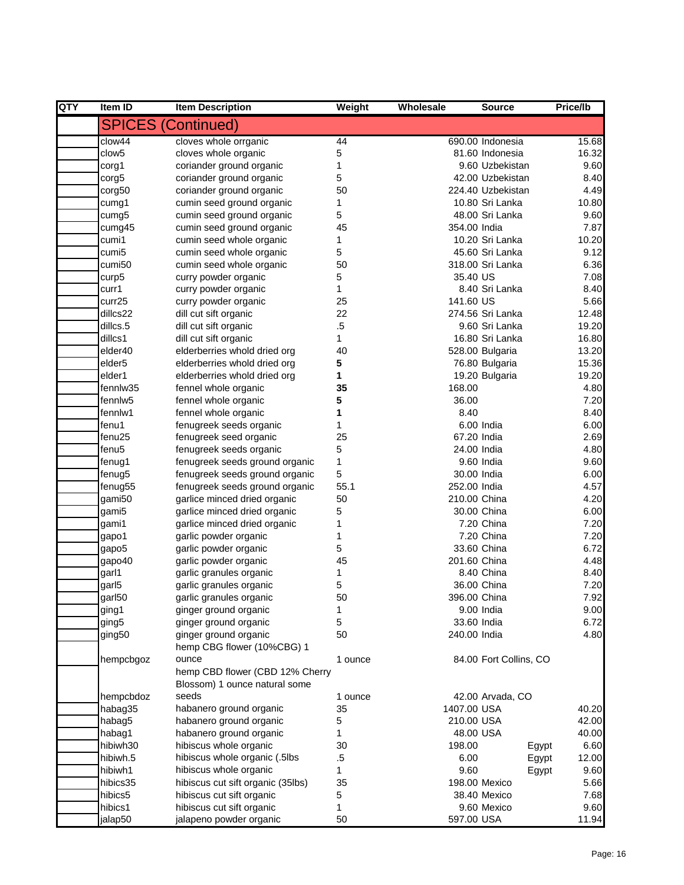| QTY | Item ID            | <b>Item Description</b>                             | Weight  | Wholesale    | <b>Source</b>          | <b>Price/lb</b> |
|-----|--------------------|-----------------------------------------------------|---------|--------------|------------------------|-----------------|
|     |                    | <b>SPICES (Continued)</b>                           |         |              |                        |                 |
|     | clow44             | cloves whole orrganic                               | 44      |              | 690.00 Indonesia       | 15.68           |
|     | clow <sub>5</sub>  | cloves whole organic                                | 5       |              | 81.60 Indonesia        | 16.32           |
|     | corg1              | coriander ground organic                            | 1       |              | 9.60 Uzbekistan        | 9.60            |
|     | corg5              | coriander ground organic                            | 5       |              | 42.00 Uzbekistan       | 8.40            |
|     | corg50             | coriander ground organic                            | 50      |              | 224.40 Uzbekistan      | 4.49            |
|     | cumg1              | cumin seed ground organic                           | 1       |              | 10.80 Sri Lanka        | 10.80           |
|     | cumg5              | cumin seed ground organic                           | 5       |              | 48.00 Sri Lanka        | 9.60            |
|     | cumg45             | cumin seed ground organic                           | 45      | 354.00 India |                        | 7.87            |
|     | cumi1              | cumin seed whole organic                            | 1       |              | 10.20 Sri Lanka        | 10.20           |
|     | cumi5              | cumin seed whole organic                            | 5       |              | 45.60 Sri Lanka        | 9.12            |
|     | cumi50             | cumin seed whole organic                            | 50      |              | 318.00 Sri Lanka       | 6.36            |
|     | curp5              | curry powder organic                                | 5       | 35.40 US     |                        | 7.08            |
|     | curr1              | curry powder organic                                | 1       |              | 8.40 Sri Lanka         | 8.40            |
|     | curr25             | curry powder organic                                | 25      | 141.60 US    |                        | 5.66            |
|     | dillcs22           | dill cut sift organic                               | 22      |              | 274.56 Sri Lanka       | 12.48           |
|     | dillcs.5           | dill cut sift organic                               | $.5\,$  |              | 9.60 Sri Lanka         | 19.20           |
|     | dillcs1            | dill cut sift organic                               | 1       |              | 16.80 Sri Lanka        | 16.80           |
|     | elder40            | elderberries whold dried org                        | 40      |              | 528.00 Bulgaria        | 13.20           |
|     | elder <sub>5</sub> | elderberries whold dried org                        | 5       |              | 76.80 Bulgaria         | 15.36           |
|     | elder1             | elderberries whold dried org                        | 1       |              | 19.20 Bulgaria         | 19.20           |
|     | fennlw35           | fennel whole organic                                | 35      | 168.00       |                        | 4.80            |
|     | fennlw5            | fennel whole organic                                | 5       | 36.00        |                        | 7.20            |
|     | fennlw1            | fennel whole organic                                | 1       | 8.40         |                        | 8.40            |
|     | fenu1              | fenugreek seeds organic                             | 1       |              | 6.00 India             | 6.00            |
|     | fenu25             | fenugreek seed organic                              | 25      | 67.20 India  |                        | 2.69            |
|     | fenu5              | fenugreek seeds organic                             | 5       |              | 24.00 India            | 4.80            |
|     | fenug1             | fenugreek seeds ground organic                      | 1       |              | 9.60 India             | 9.60            |
|     | fenug5             | fenugreek seeds ground organic                      | 5       |              | 30.00 India            | 6.00            |
|     | fenug55            | fenugreek seeds ground organic                      | 55.1    | 252.00 India |                        | 4.57            |
|     | gami50             | garlice minced dried organic                        | 50      | 210.00 China |                        | 4.20            |
|     | gami5              | garlice minced dried organic                        | 5       |              | 30.00 China            | 6.00            |
|     | gami1              | garlice minced dried organic                        | 1       |              | 7.20 China             | 7.20            |
|     | gapo1              | garlic powder organic                               | 1       |              | 7.20 China             | 7.20            |
|     | gapo <sub>5</sub>  | garlic powder organic                               | 5       |              | 33.60 China            | 6.72            |
|     | gapo40             | garlic powder organic                               | 45      | 201.60 China |                        | 4.48            |
|     | garl1              | garlic granules organic                             | 1       |              | 8.40 China             | 8.40            |
|     | garl5              | garlic granules organic                             | 5       |              | 36.00 China            | 7.20            |
|     | garl50             | garlic granules organic                             | 50      | 396.00 China |                        | 7.92            |
|     | ging1              | ginger ground organic                               | 1       |              | 9.00 India             | 9.00            |
|     | ging5              | ginger ground organic                               | 5       |              | 33.60 India            | 6.72            |
|     | ging50             | ginger ground organic<br>hemp CBG flower (10%CBG) 1 | 50      | 240.00 India |                        | 4.80            |
|     | hempcbgoz          | ounce                                               | 1 ounce |              | 84.00 Fort Collins, CO |                 |
|     |                    | hemp CBD flower (CBD 12% Cherry                     |         |              |                        |                 |
|     |                    | Blossom) 1 ounce natural some                       |         |              |                        |                 |
|     | hempcbdoz          | seeds                                               | 1 ounce |              | 42.00 Arvada, CO       |                 |
|     | habag35            | habanero ground organic                             | 35      | 1407.00 USA  |                        | 40.20           |
|     | habag5             | habanero ground organic                             | 5       | 210.00 USA   |                        | 42.00           |
|     | habag1             | habanero ground organic                             | 1       | 48.00 USA    |                        | 40.00           |
|     | hibiwh30           | hibiscus whole organic                              | 30      | 198.00       | Egypt                  | 6.60            |
|     | hibiwh.5           | hibiscus whole organic (.5lbs                       | .5      | 6.00         | Egypt                  | 12.00           |
|     | hibiwh1            | hibiscus whole organic                              | 1       | 9.60         | Egypt                  | 9.60            |
|     | hibics35           | hibiscus cut sift organic (35lbs)                   | 35      |              | 198.00 Mexico          | 5.66            |
|     | hibics5            | hibiscus cut sift organic                           | 5       |              | 38.40 Mexico           | 7.68            |
|     | hibics1            | hibiscus cut sift organic                           | 1       |              | 9.60 Mexico            | 9.60            |
|     | jalap50            | jalapeno powder organic                             | 50      | 597.00 USA   |                        | 11.94           |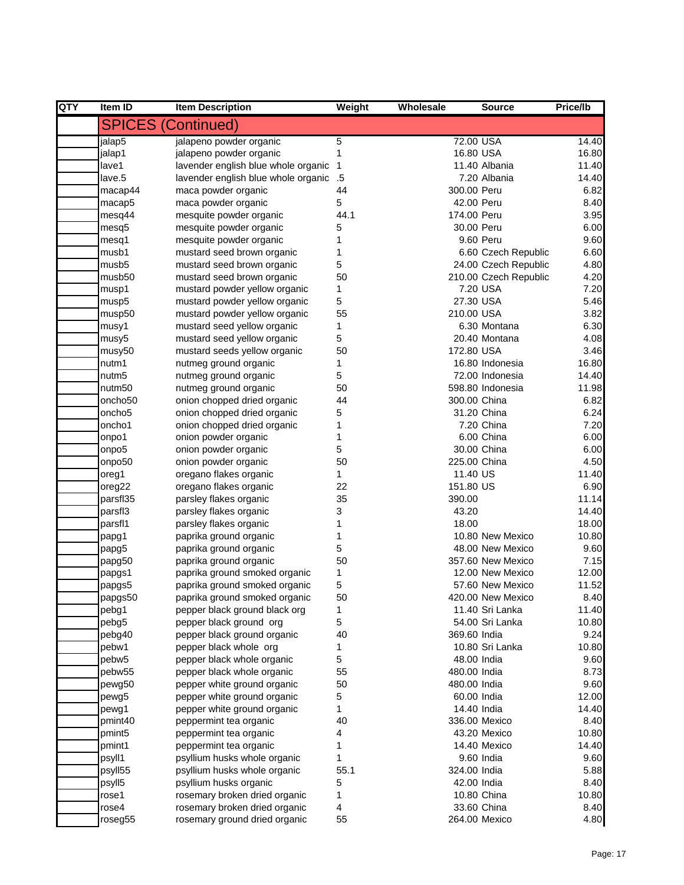| QTY | Item ID  | <b>Item Description</b>             | Weight         | Wholesale    | <b>Source</b>         | Price/lb |
|-----|----------|-------------------------------------|----------------|--------------|-----------------------|----------|
|     |          | <b>SPICES (Continued)</b>           |                |              |                       |          |
|     | jalap5   | jalapeno powder organic             | 5              | 72.00 USA    |                       | 14.40    |
|     | jalap1   | jalapeno powder organic             | 1              | 16.80 USA    |                       | 16.80    |
|     | lave1    | lavender english blue whole organic | $\overline{1}$ |              | 11.40 Albania         | 11.40    |
|     | lave.5   | lavender english blue whole organic | .5             |              | 7.20 Albania          | 14.40    |
|     | macap44  | maca powder organic                 | 44             | 300.00 Peru  |                       | 6.82     |
|     | macap5   | maca powder organic                 | 5              | 42.00 Peru   |                       | 8.40     |
|     | mesq44   | mesquite powder organic             | 44.1           | 174.00 Peru  |                       | 3.95     |
|     | mesq5    | mesquite powder organic             | 5              | 30.00 Peru   |                       | 6.00     |
|     | mesq1    | mesquite powder organic             | 1              |              | 9.60 Peru             | 9.60     |
|     | musb1    | mustard seed brown organic          | 1              |              | 6.60 Czech Republic   | 6.60     |
|     | musb5    | mustard seed brown organic          | 5              |              | 24.00 Czech Republic  | 4.80     |
|     | musb50   | mustard seed brown organic          | 50             |              | 210.00 Czech Republic | 4.20     |
|     | musp1    | mustard powder yellow organic       | 1              |              | 7.20 USA              | 7.20     |
|     | musp5    | mustard powder yellow organic       | 5              | 27.30 USA    |                       | 5.46     |
|     | musp50   | mustard powder yellow organic       | 55             | 210.00 USA   |                       | 3.82     |
|     | musy1    | mustard seed yellow organic         | 1              |              | 6.30 Montana          | 6.30     |
|     | musy5    | mustard seed yellow organic         | 5              |              | 20.40 Montana         | 4.08     |
|     | musy50   | mustard seeds yellow organic        | 50             | 172.80 USA   |                       | 3.46     |
|     | nutm1    | nutmeg ground organic               | 1              |              | 16.80 Indonesia       | 16.80    |
|     | nutm5    | nutmeg ground organic               | 5              |              | 72.00 Indonesia       | 14.40    |
|     | nutm50   | nutmeg ground organic               | 50             |              | 598.80 Indonesia      | 11.98    |
|     | oncho50  | onion chopped dried organic         | 44             | 300.00 China |                       | 6.82     |
|     | oncho5   | onion chopped dried organic         | 5              |              | 31.20 China           | 6.24     |
|     | oncho1   | onion chopped dried organic         | 1              |              | 7.20 China            | 7.20     |
|     | onpo1    | onion powder organic                | 1              |              | 6.00 China            | 6.00     |
|     | onpo5    | onion powder organic                | 5              |              | 30.00 China           | 6.00     |
|     | onpo50   | onion powder organic                | 50             | 225.00 China |                       | 4.50     |
|     | oreg1    | oregano flakes organic              | 1              | 11.40 US     |                       | 11.40    |
|     | oreg22   | oregano flakes organic              | 22             | 151.80 US    |                       | 6.90     |
|     | parsfl35 | parsley flakes organic              | 35             | 390.00       |                       | 11.14    |
|     | parsfl3  | parsley flakes organic              | 3              | 43.20        |                       | 14.40    |
|     | parsfl1  | parsley flakes organic              | 1              | 18.00        |                       | 18.00    |
|     | papg1    | paprika ground organic              | 1              |              | 10.80 New Mexico      | 10.80    |
|     | papg5    | paprika ground organic              | 5              |              | 48.00 New Mexico      | 9.60     |
|     | papg50   | paprika ground organic              | 50             |              | 357.60 New Mexico     | 7.15     |
|     | papgs1   | paprika ground smoked organic       | 1              |              | 12.00 New Mexico      | 12.00    |
|     | papgs5   | paprika ground smoked organic       | 5              |              | 57.60 New Mexico      | 11.52    |
|     | papgs50  | paprika ground smoked organic       | 50             |              | 420.00 New Mexico     | 8.40     |
|     | pebg1    | pepper black ground black org       | 1              |              | 11.40 Sri Lanka       | 11.40    |
|     | pebg5    | pepper black ground org             | 5              |              | 54.00 Sri Lanka       | 10.80    |
|     | pebg40   | pepper black ground organic         | 40             | 369.60 India |                       | 9.24     |
|     | pebw1    | pepper black whole org              | 1              |              | 10.80 Sri Lanka       | 10.80    |
|     | pebw5    | pepper black whole organic          | 5              | 48.00 India  |                       | 9.60     |
|     | pebw55   | pepper black whole organic          | 55             | 480.00 India |                       | 8.73     |
|     | pewg50   | pepper white ground organic         | 50             | 480.00 India |                       | 9.60     |
|     | pewg5    | pepper white ground organic         | 5              | 60.00 India  |                       | 12.00    |
|     | pewg1    | pepper white ground organic         | 1              | 14.40 India  |                       | 14.40    |
|     | pmint40  | peppermint tea organic              | 40             |              | 336.00 Mexico         | 8.40     |
|     | pmint5   | peppermint tea organic              | 4              |              | 43.20 Mexico          | 10.80    |
|     | pmint1   | peppermint tea organic              | 1              |              | 14.40 Mexico          | 14.40    |
|     | psyll1   | psyllium husks whole organic        | 1              |              | 9.60 India            | 9.60     |
|     | psyll55  | psyllium husks whole organic        | 55.1           | 324.00 India |                       | 5.88     |
|     | psyll5   | psyllium husks organic              | 5              | 42.00 India  |                       | 8.40     |
|     | rose1    | rosemary broken dried organic       | 1              |              | 10.80 China           | 10.80    |
|     | rose4    | rosemary broken dried organic       | 4              |              | 33.60 China           | 8.40     |
|     | roseg55  | rosemary ground dried organic       | 55             |              | 264.00 Mexico         | 4.80     |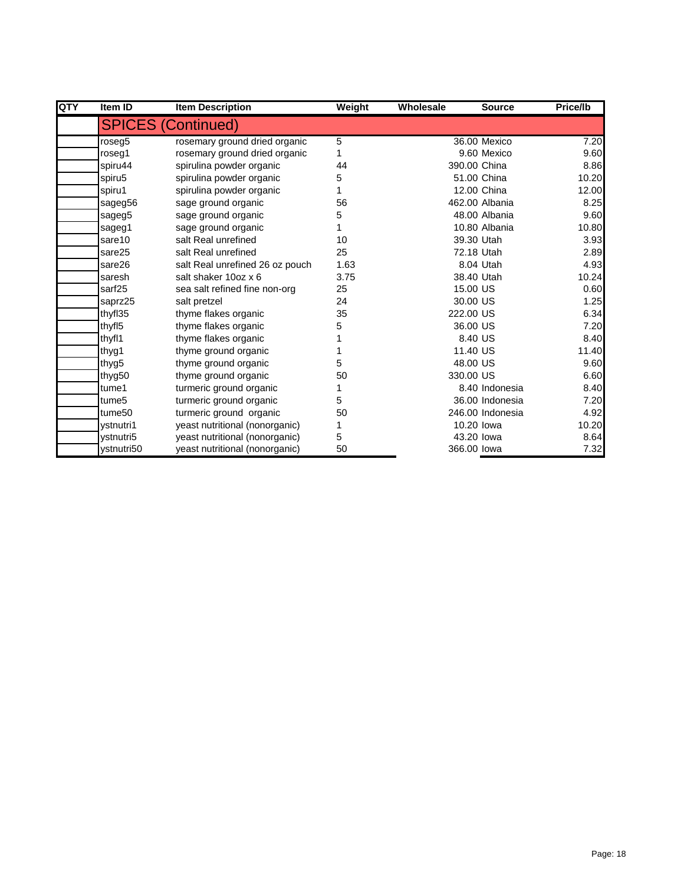| QTY | Item ID            | <b>Item Description</b>         | Weight | Wholesale    | <b>Source</b>    | Price/lb |
|-----|--------------------|---------------------------------|--------|--------------|------------------|----------|
|     |                    | <b>SPICES (Continued)</b>       |        |              |                  |          |
|     | roseg5             | rosemary ground dried organic   | 5      |              | 36.00 Mexico     | 7.20     |
|     | roseg1             | rosemary ground dried organic   |        |              | 9.60 Mexico      | 9.60     |
|     | spiru44            | spirulina powder organic        | 44     | 390.00 China |                  | 8.86     |
|     | spiru5             | spirulina powder organic        | 5      |              | 51.00 China      | 10.20    |
|     | spiru1             | spirulina powder organic        |        |              | 12.00 China      | 12.00    |
|     | sageg56            | sage ground organic             | 56     |              | 462.00 Albania   | 8.25     |
|     | sageg5             | sage ground organic             | 5      |              | 48.00 Albania    | 9.60     |
|     | sageg1             | sage ground organic             |        |              | 10.80 Albania    | 10.80    |
|     | sare10             | salt Real unrefined             | 10     | 39.30 Utah   |                  | 3.93     |
|     | sare25             | salt Real unrefined             | 25     | 72.18 Utah   |                  | 2.89     |
|     | sare26             | salt Real unrefined 26 oz pouch | 1.63   |              | 8.04 Utah        | 4.93     |
|     | saresh             | salt shaker 10oz x 6            | 3.75   | 38.40 Utah   |                  | 10.24    |
|     | sarf <sub>25</sub> | sea salt refined fine non-org   | 25     | 15.00 US     |                  | 0.60     |
|     | saprz25            | salt pretzel                    | 24     | 30.00 US     |                  | 1.25     |
|     | thyfl35            | thyme flakes organic            | 35     | 222.00 US    |                  | 6.34     |
|     | thyfl <sub>5</sub> | thyme flakes organic            | 5      | 36,00 US     |                  | 7.20     |
|     | thyfl1             | thyme flakes organic            |        | 8.40 US      |                  | 8.40     |
|     | thyg1              | thyme ground organic            |        | 11.40 US     |                  | 11.40    |
|     | thyg5              | thyme ground organic            | 5      | 48.00 US     |                  | 9.60     |
|     | thyg50             | thyme ground organic            | 50     | 330.00 US    |                  | 6.60     |
|     | tume1              | turmeric ground organic         |        |              | 8.40 Indonesia   | 8.40     |
|     | tume <sub>5</sub>  | turmeric ground organic         | 5      |              | 36.00 Indonesia  | 7.20     |
|     | tume <sub>50</sub> | turmeric ground organic         | 50     |              | 246.00 Indonesia | 4.92     |
|     | ystnutri1          | yeast nutritional (nonorganic)  |        | 10.20 lowa   |                  | 10.20    |
|     | vstnutri5          | yeast nutritional (nonorganic)  | 5      | 43.20 lowa   |                  | 8.64     |
|     | ystnutri50         | yeast nutritional (nonorganic)  | 50     | 366.00 lowa  |                  | 7.32     |